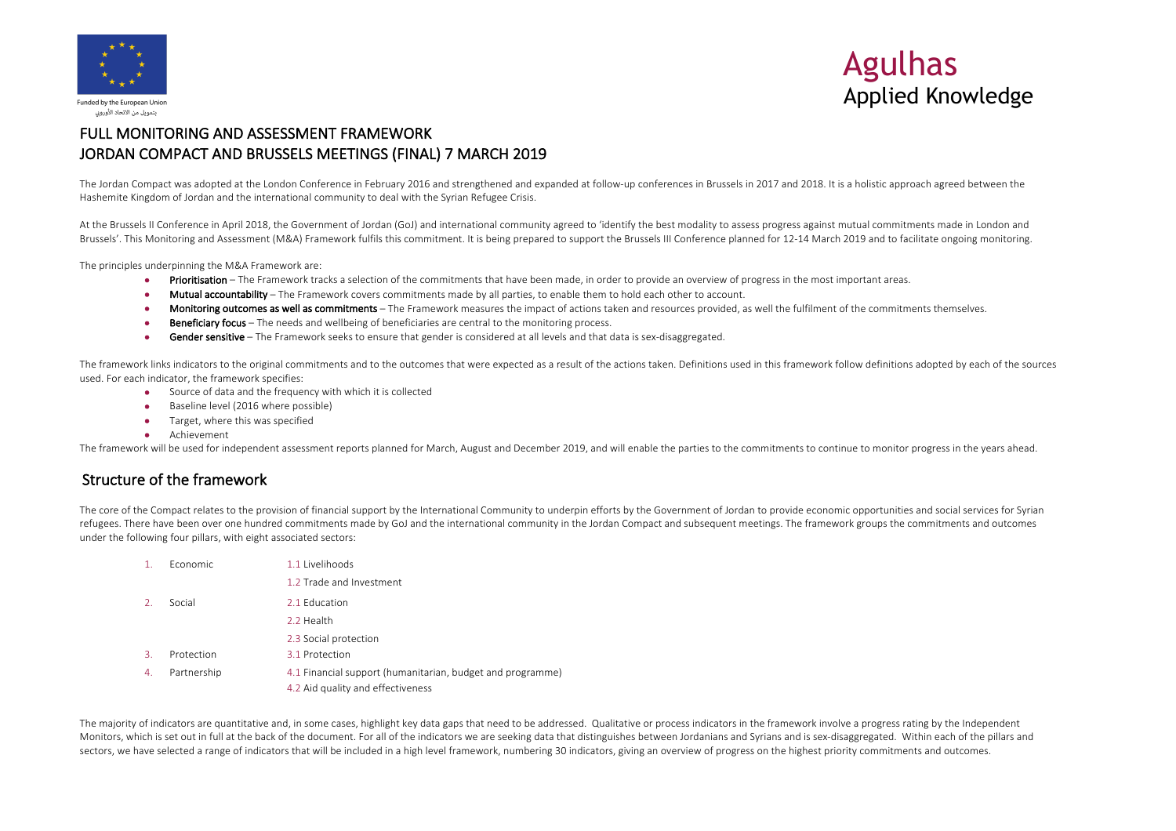

# Agulhas Applied Knowledge

# FULL MONITORING AND ASSESSMENT FRAMEWORK JORDAN COMPACT AND BRUSSELS MEETINGS (FINAL) 7 MARCH 2019

The Jordan Compact was adopted at the London Conference in February 2016 and strengthened and expanded at follow-up conferences in Brussels in 2017 and 2018. It is a holistic approach agreed between the Hashemite Kingdom of Jordan and the international community to deal with the Syrian Refugee Crisis.

At the Brussels II Conference in April 2018, the Government of Jordan (GoJ) and international community agreed to 'identify the best modality to assess progress against mutual commitments made in London and Brussels'. This Monitoring and Assessment (M&A) Framework fulfils this commitment. It is being prepared to support the Brussels III Conference planned for 12-14 March 2019 and to facilitate ongoing monitoring.

The principles underpinning the M&A Framework are:

- Prioritisation The Framework tracks a selection of the commitments that have been made, in order to provide an overview of progress in the most important areas.
- Mutual accountability The Framework covers commitments made by all parties, to enable them to hold each other to account.
- Monitoring outcomes as well as commitments The Framework measures the impact of actions taken and resources provided, as well the fulfilment of the commitments themselves.
- Beneficiary focus The needs and wellbeing of beneficiaries are central to the monitoring process.
- Gender sensitive The Framework seeks to ensure that gender is considered at all levels and that data is sex-disaggregated.

The framework links indicators to the original commitments and to the outcomes that were expected as a result of the actions taken. Definitions used in this framework follow definitions adopted by each of the sources used. For each indicator, the framework specifies:

- Source of data and the frequency with which it is collected
- Baseline level (2016 where possible)
- Target, where this was specified
- Achievement

The framework will be used for independent assessment reports planned for March, August and December 2019, and will enable the parties to the commitments to continue to monitor progress in the years ahead.

### Structure of the framework

The core of the Compact relates to the provision of financial support by the International Community to underpin efforts by the Government of Jordan to provide economic opportunities and social services for Syrian refugees. There have been over one hundred commitments made by GoJ and the international community in the Jordan Compact and subsequent meetings. The framework groups the commitments and outcomes under the following four pillars, with eight associated sectors:

|               | <b>Fconomic</b> | 1.1 Livelihoods                                                                                 |
|---------------|-----------------|-------------------------------------------------------------------------------------------------|
|               |                 | 1.2 Trade and Investment                                                                        |
| $\mathcal{L}$ | Social          | 2.1 Education                                                                                   |
|               |                 | 2.2 Health                                                                                      |
|               |                 | 2.3 Social protection                                                                           |
| 3.            | Protection      | 3.1 Protection                                                                                  |
| 4.            | Partnership     | 4.1 Financial support (humanitarian, budget and programme)<br>4.2 Aid quality and effectiveness |

The majority of indicators are quantitative and, in some cases, highlight key data gaps that need to be addressed. Qualitative or process indicators in the framework involve a progress rating by the Independent Monitors, which is set out in full at the back of the document. For all of the indicators we are seeking data that distinguishes between Jordanians and Syrians and is sex-disaggregated. Within each of the pillars and sectors, we have selected a range of indicators that will be included in a high level framework, numbering 30 indicators, giving an overview of progress on the highest priority commitments and outcomes.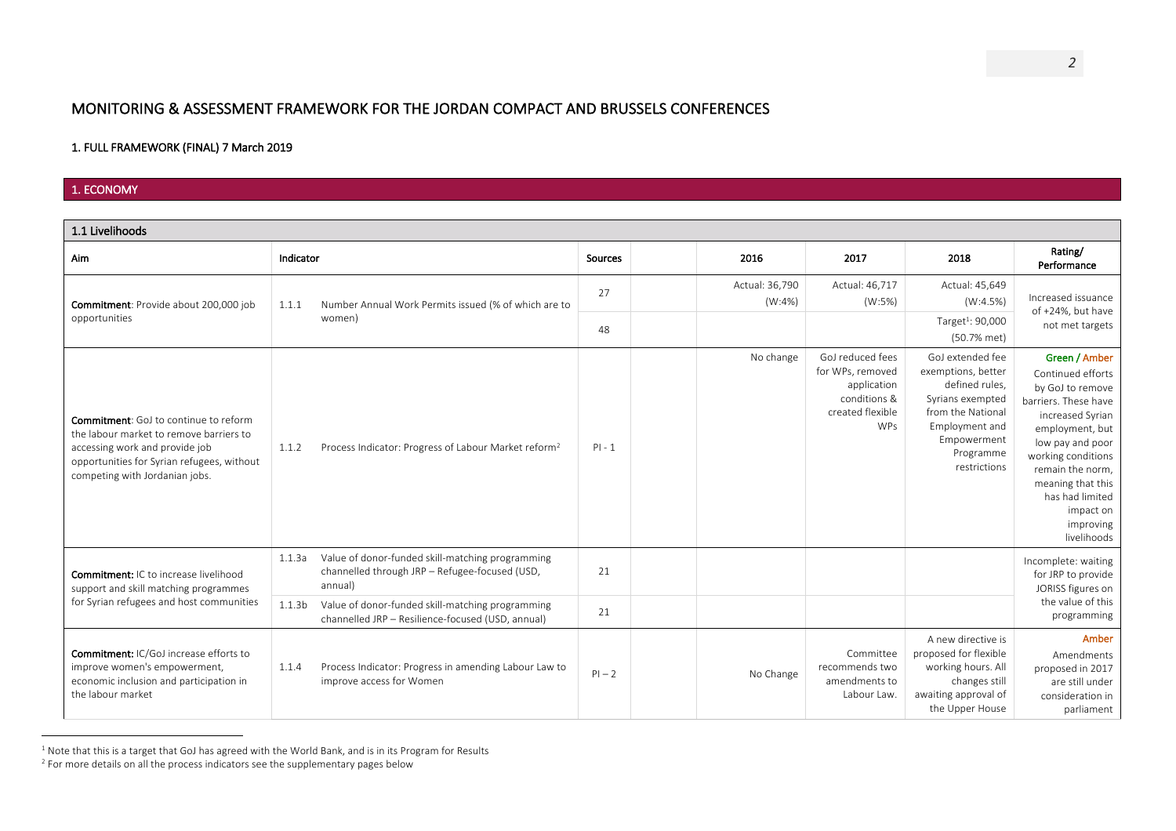# MONITORING & ASSESSMENT FRAMEWORK FOR THE JORDAN COMPACT AND BRUSSELS CONFERENCES

#### 1. FULL FRAMEWORK (FINAL) 7 March 2019

### 1. ECONOMY

| 1.1 Livelihoods                                                                                                                                                                                           |                    |                                                                                                               |          |                          |                                                                                                       |                                                                                                                                                                 |                                                                                                                                                                                                                                                                      |
|-----------------------------------------------------------------------------------------------------------------------------------------------------------------------------------------------------------|--------------------|---------------------------------------------------------------------------------------------------------------|----------|--------------------------|-------------------------------------------------------------------------------------------------------|-----------------------------------------------------------------------------------------------------------------------------------------------------------------|----------------------------------------------------------------------------------------------------------------------------------------------------------------------------------------------------------------------------------------------------------------------|
| <b>Aim</b>                                                                                                                                                                                                | Indicator          |                                                                                                               | Sources  | 2016                     | 2017                                                                                                  | 2018                                                                                                                                                            | Rating/<br>Performance                                                                                                                                                                                                                                               |
| Commitment: Provide about 200,000 job                                                                                                                                                                     | 1.1.1              | Number Annual Work Permits issued (% of which are to                                                          | 27       | Actual: 36,790<br>(W:4%) | Actual: 46,717<br>(W:5%)                                                                              | Actual: 45,649<br>(W:4.5%)                                                                                                                                      | Increased issuance<br>of +24%, but have                                                                                                                                                                                                                              |
| opportunities                                                                                                                                                                                             |                    | women)                                                                                                        | 48       |                          |                                                                                                       | Target <sup>1</sup> : 90,000<br>(50.7% met)                                                                                                                     | not met targets                                                                                                                                                                                                                                                      |
| <b>Commitment:</b> GoJ to continue to reform<br>the labour market to remove barriers to<br>accessing work and provide job<br>opportunities for Syrian refugees, without<br>competing with Jordanian jobs. | 1.1.2              | Process Indicator: Progress of Labour Market reform <sup>2</sup>                                              | $PI - 1$ | No change                | GoJ reduced fees<br>for WPs, removed<br>application<br>conditions &<br>created flexible<br><b>WPs</b> | GoJ extended fee<br>exemptions, better<br>defined rules,<br>Syrians exempted<br>from the National<br>Employment and<br>Empowerment<br>Programme<br>restrictions | Green / Amber<br>Continued efforts<br>by GoJ to remove<br>barriers. These have<br>increased Syrian<br>employment, but<br>low pay and poor<br>working conditions<br>remain the norm.<br>meaning that this<br>has had limited<br>impact on<br>improving<br>livelihoods |
| <b>Commitment: IC to increase livelihood</b><br>support and skill matching programmes                                                                                                                     | 1.1.3a             | Value of donor-funded skill-matching programming<br>channelled through JRP - Refugee-focused (USD,<br>annual) | 21       |                          |                                                                                                       |                                                                                                                                                                 | Incomplete: waiting<br>for JRP to provide<br>JORISS figures on                                                                                                                                                                                                       |
| for Syrian refugees and host communities                                                                                                                                                                  | 1.1.3 <sub>b</sub> | Value of donor-funded skill-matching programming<br>channelled JRP - Resilience-focused (USD, annual)         | 21       |                          |                                                                                                       |                                                                                                                                                                 | the value of this<br>programming                                                                                                                                                                                                                                     |
| <b>Commitment: IC/GoJ increase efforts to</b><br>improve women's empowerment,<br>economic inclusion and participation in<br>the labour market                                                             | 1.1.4              | Process Indicator: Progress in amending Labour Law to<br>improve access for Women                             | $PI - 2$ | No Change                | Committee<br>recommends two<br>amendments to<br>Labour Law.                                           | A new directive is<br>proposed for flexible<br>working hours. All<br>changes still<br>awaiting approval of<br>the Upper House                                   | Amber<br>Amendments<br>proposed in 2017<br>are still under<br>consideration in<br>parliament                                                                                                                                                                         |

 $^1$  Note that this is a target that GoJ has agreed with the World Bank, and is in its Program for Results

<sup>&</sup>lt;sup>2</sup> For more details on all the process indicators see the supplementary pages below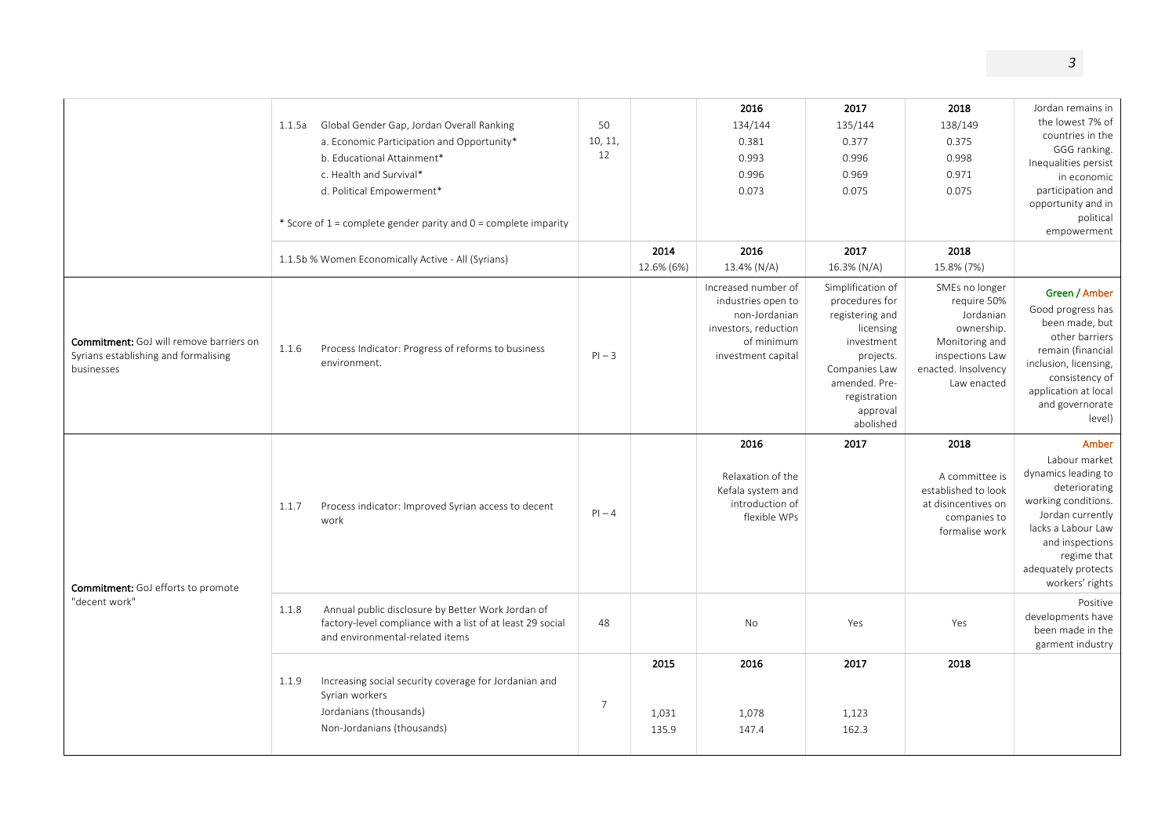|                                                                                                      | Global Gender Gap, Jordan Overall Ranking<br>1.1.5a<br>a. Economic Participation and Opportunity*<br>b. Educational Attainment*<br>c. Health and Survival*<br>d. Political Empowerment*<br>* Score of 1 = complete gender parity and 0 = complete imparity | 50<br>10, 11,<br>12 |                        | 2016<br>134/144<br>0.381<br>0.993<br>0.996<br>0.073                                                                    | 2017<br>135/144<br>0.377<br>0.996<br>0.969<br>0.075                                                                                                                       | 2018<br>138/149<br>0.375<br>0.998<br>0.971<br>0.075                                                                                 | Jordan remains in<br>the lowest 7% of<br>countries in the<br>GGG ranking.<br>Inequalities persist<br>in economic<br>participation and<br>opportunity and in<br>political<br>empowerment                     |
|------------------------------------------------------------------------------------------------------|------------------------------------------------------------------------------------------------------------------------------------------------------------------------------------------------------------------------------------------------------------|---------------------|------------------------|------------------------------------------------------------------------------------------------------------------------|---------------------------------------------------------------------------------------------------------------------------------------------------------------------------|-------------------------------------------------------------------------------------------------------------------------------------|-------------------------------------------------------------------------------------------------------------------------------------------------------------------------------------------------------------|
|                                                                                                      | 1.1.5b % Women Economically Active - All (Syrians)                                                                                                                                                                                                         |                     | 2014<br>12.6% (6%)     | 2016<br>13.4% (N/A)                                                                                                    | 2017<br>16.3% (N/A)                                                                                                                                                       | 2018<br>15.8% (7%)                                                                                                                  |                                                                                                                                                                                                             |
| <b>Commitment:</b> GoJ will remove barriers on<br>Syrians establishing and formalising<br>businesses | Process Indicator: Progress of reforms to business<br>1.1.6<br>environment.                                                                                                                                                                                | $PI - 3$            |                        | Increased number of<br>industries open to<br>non-Jordanian<br>investors, reduction<br>of minimum<br>investment capital | Simplification of<br>procedures for<br>registering and<br>licensing<br>investment<br>projects.<br>Companies Law<br>amended. Pre-<br>registration<br>approval<br>abolished | SMEs no longer<br>require 50%<br>Jordanian<br>ownership.<br>Monitoring and<br>inspections Law<br>enacted. Insolvency<br>Law enacted | Green / Amber<br>Good progress has<br>been made, but<br>other barriers<br>remain (financial<br>inclusion, licensing,<br>consistency of<br>application at local<br>and governorate<br>level)                 |
| <b>Commitment:</b> GoJ efforts to promote                                                            | 1.1.7<br>Process indicator: Improved Syrian access to decent<br>work                                                                                                                                                                                       | $Pl - 4$            |                        | 2016<br>Relaxation of the<br>Kefala system and<br>introduction of<br>flexible WPs                                      | 2017                                                                                                                                                                      | 2018<br>A committee is<br>established to look<br>at disincentives on<br>companies to<br>formalise work                              | Amber<br>Labour market<br>dynamics leading to<br>deteriorating<br>working conditions.<br>Jordan currently<br>lacks a Labour Law<br>and inspections<br>regime that<br>adequately protects<br>workers' rights |
| "decent work"                                                                                        | 1.1.8<br>Annual public disclosure by Better Work Jordan of<br>factory-level compliance with a list of at least 29 social<br>and environmental-related items                                                                                                | 48                  |                        | No                                                                                                                     | Yes                                                                                                                                                                       | Yes                                                                                                                                 | Positive<br>developments have<br>been made in the<br>garment industry                                                                                                                                       |
|                                                                                                      | Increasing social security coverage for Jordanian and<br>1.1.9<br>Syrian workers<br>Jordanians (thousands)<br>Non-Jordanians (thousands)                                                                                                                   | $\overline{7}$      | 2015<br>1,031<br>135.9 | 2016<br>1,078<br>147.4                                                                                                 | 2017<br>1,123<br>162.3                                                                                                                                                    | 2018                                                                                                                                |                                                                                                                                                                                                             |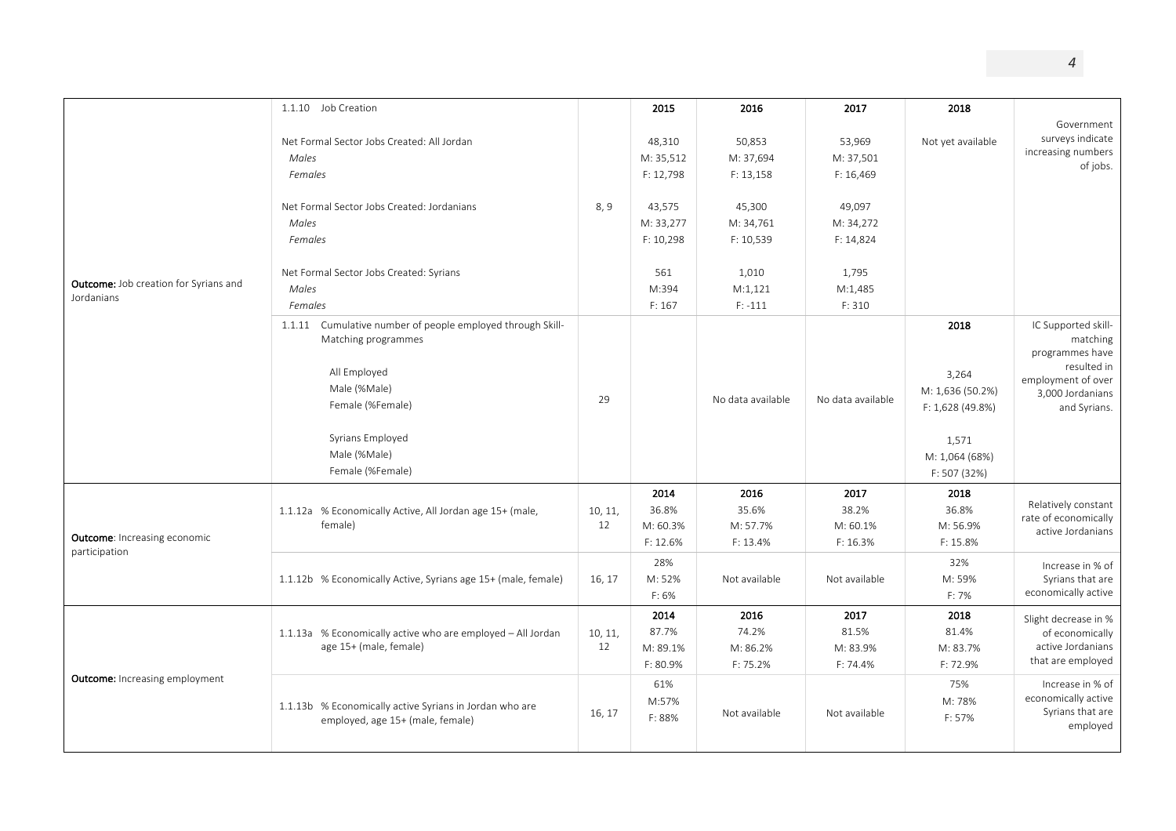|                                                            | 1.1.10 Job Creation                                           |         | 2015      | 2016              | 2017              | 2018                |                      |
|------------------------------------------------------------|---------------------------------------------------------------|---------|-----------|-------------------|-------------------|---------------------|----------------------|
|                                                            |                                                               |         |           |                   |                   |                     | Government           |
|                                                            | Net Formal Sector Jobs Created: All Jordan                    |         | 48,310    | 50,853            | 53,969            | Not yet available   | surveys indicate     |
|                                                            | Males                                                         |         | M: 35,512 | M: 37,694         | M: 37,501         |                     | increasing numbers   |
|                                                            |                                                               |         |           |                   |                   |                     | of jobs.             |
|                                                            | Females                                                       |         | F: 12,798 | F: 13,158         | F: 16,469         |                     |                      |
|                                                            | Net Formal Sector Jobs Created: Jordanians                    | 8,9     | 43,575    | 45,300            | 49,097            |                     |                      |
|                                                            | Males                                                         |         | M: 33,277 | M: 34,761         | M: 34,272         |                     |                      |
|                                                            |                                                               |         |           |                   |                   |                     |                      |
| <b>Outcome:</b> Job creation for Syrians and<br>Jordanians | Females                                                       |         | F: 10,298 | F: 10,539         | F: 14,824         |                     |                      |
|                                                            | Net Formal Sector Jobs Created: Syrians                       |         | 561       | 1,010             | 1,795             |                     |                      |
|                                                            | Males                                                         |         | M:394     | M:1,121           | M:1,485           |                     |                      |
|                                                            | Females                                                       |         | F: 167    | $F: -111$         | F: 310            |                     |                      |
|                                                            | 1.1.11 Cumulative number of people employed through Skill-    |         |           |                   |                   | 2018                | IC Supported skill-  |
|                                                            | Matching programmes                                           |         |           |                   |                   |                     | matching             |
|                                                            |                                                               |         |           |                   |                   |                     | programmes have      |
|                                                            | All Employed                                                  |         |           |                   |                   | 3,264               | resulted in          |
|                                                            | Male (%Male)                                                  |         |           |                   |                   |                     | employment of over   |
|                                                            | Female (%Female)                                              | 29      |           | No data available | No data available | M: 1,636 (50.2%)    | 3,000 Jordanians     |
|                                                            |                                                               |         |           |                   |                   | $F: 1,628 (49.8\%)$ | and Syrians.         |
|                                                            | Syrians Employed                                              |         |           |                   |                   |                     |                      |
|                                                            | Male (%Male)<br>Female (%Female)                              |         |           |                   |                   | 1,571               |                      |
|                                                            |                                                               |         |           |                   |                   | M: 1,064 (68%)      |                      |
|                                                            |                                                               |         |           |                   |                   | F: 507 (32%)        |                      |
|                                                            |                                                               |         | 2014      | 2016              | 2017              | 2018                | Relatively constant  |
|                                                            | 1.1.12a % Economically Active, All Jordan age 15+ (male,      | 10, 11, | 36.8%     | 35.6%             | 38.2%             | 36.8%               | rate of economically |
| <b>Outcome:</b> Increasing economic                        | female)                                                       | 12      | M: 60.3%  | M: 57.7%          | M: 60.1%          | M: 56.9%            | active Jordanians    |
| participation                                              |                                                               |         | F: 12.6%  | F: 13.4%          | F: 16.3%          | F: 15.8%            |                      |
|                                                            |                                                               |         | 28%       |                   |                   | 32%                 | Increase in % of     |
|                                                            | 1.1.12b % Economically Active, Syrians age 15+ (male, female) | 16, 17  | M: 52%    | Not available     | Not available     | M: 59%              | Syrians that are     |
|                                                            |                                                               |         | F: 6%     |                   |                   | F: 7%               | economically active  |
|                                                            |                                                               |         | 2014      | 2016              | 2017              | 2018                | Slight decrease in % |
|                                                            | 1.1.13a % Economically active who are employed - All Jordan   | 10, 11, | 87.7%     | 74.2%             | 81.5%             | 81.4%               | of economically      |
|                                                            | age 15+ (male, female)                                        | 12      | M: 89.1%  | M: 86.2%          | M: 83.9%          | M: 83.7%            | active Jordanians    |
|                                                            |                                                               |         | F: 80.9%  | F: 75.2%          | F: 74.4%          | F: 72.9%            | that are employed    |
| <b>Outcome:</b> Increasing employment                      |                                                               |         | 61%       |                   |                   | 75%                 | Increase in % of     |
|                                                            |                                                               |         | M:57%     |                   |                   | M: 78%              | economically active  |
|                                                            | 1.1.13b % Economically active Syrians in Jordan who are       | 16, 17  | F: 88%    | Not available     | Not available     | F: 57%              | Syrians that are     |
|                                                            | employed, age 15+ (male, female)                              |         |           |                   |                   |                     | employed             |
|                                                            |                                                               |         |           |                   |                   |                     |                      |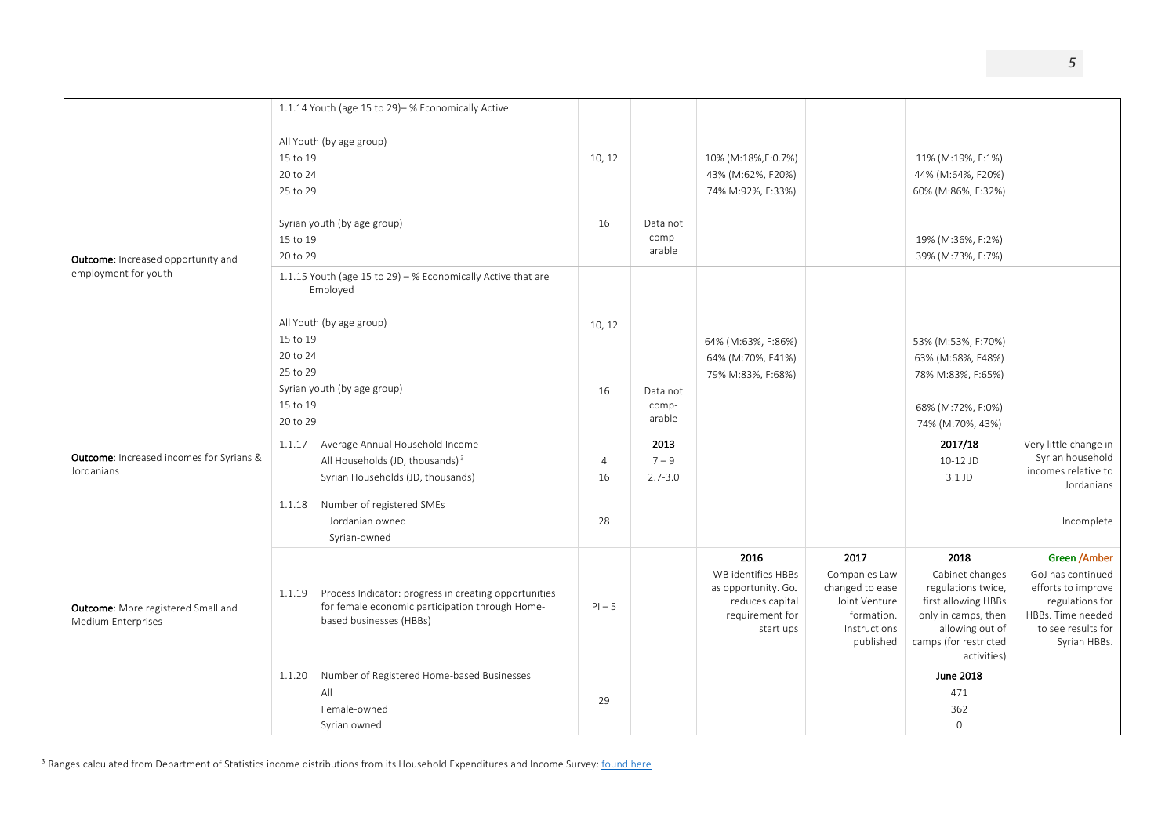|                                                                 | 1.1.14 Youth (age 15 to 29)- % Economically Active                                                                                            |                |             |                                                                                              |                                                                                              |                                                                                                                                                |                                                                                                                       |
|-----------------------------------------------------------------|-----------------------------------------------------------------------------------------------------------------------------------------------|----------------|-------------|----------------------------------------------------------------------------------------------|----------------------------------------------------------------------------------------------|------------------------------------------------------------------------------------------------------------------------------------------------|-----------------------------------------------------------------------------------------------------------------------|
|                                                                 | All Youth (by age group)                                                                                                                      |                |             |                                                                                              |                                                                                              |                                                                                                                                                |                                                                                                                       |
|                                                                 | 15 to 19                                                                                                                                      | 10, 12         |             | 10% (M:18%,F:0.7%)                                                                           |                                                                                              | 11% (M:19%, F:1%)                                                                                                                              |                                                                                                                       |
|                                                                 | 20 to 24                                                                                                                                      |                |             | 43% (M:62%, F20%)                                                                            |                                                                                              | 44% (M:64%, F20%)                                                                                                                              |                                                                                                                       |
|                                                                 | 25 to 29                                                                                                                                      |                |             | 74% M:92%, F:33%)                                                                            |                                                                                              | 60% (M:86%, F:32%)                                                                                                                             |                                                                                                                       |
|                                                                 |                                                                                                                                               |                |             |                                                                                              |                                                                                              |                                                                                                                                                |                                                                                                                       |
|                                                                 | Syrian youth (by age group)                                                                                                                   | 16             | Data not    |                                                                                              |                                                                                              |                                                                                                                                                |                                                                                                                       |
|                                                                 | 15 to 19                                                                                                                                      |                | comp-       |                                                                                              |                                                                                              | 19% (M:36%, F:2%)                                                                                                                              |                                                                                                                       |
| Outcome: Increased opportunity and                              | 20 to 29                                                                                                                                      |                | arable      |                                                                                              |                                                                                              | 39% (M:73%, F:7%)                                                                                                                              |                                                                                                                       |
| employment for youth                                            | 1.1.15 Youth (age 15 to 29) - % Economically Active that are<br>Employed                                                                      |                |             |                                                                                              |                                                                                              |                                                                                                                                                |                                                                                                                       |
|                                                                 | All Youth (by age group)                                                                                                                      | 10, 12         |             |                                                                                              |                                                                                              |                                                                                                                                                |                                                                                                                       |
|                                                                 | 15 to 19                                                                                                                                      |                |             | 64% (M:63%, F:86%)                                                                           |                                                                                              | 53% (M:53%, F:70%)                                                                                                                             |                                                                                                                       |
|                                                                 | 20 to 24                                                                                                                                      |                |             | 64% (M:70%, F41%)                                                                            |                                                                                              | 63% (M:68%, F48%)                                                                                                                              |                                                                                                                       |
|                                                                 | 25 to 29                                                                                                                                      |                |             | 79% M:83%, F:68%)                                                                            |                                                                                              | 78% M:83%, F:65%)                                                                                                                              |                                                                                                                       |
|                                                                 | Syrian youth (by age group)                                                                                                                   | 16             | Data not    |                                                                                              |                                                                                              |                                                                                                                                                |                                                                                                                       |
|                                                                 | 15 to 19                                                                                                                                      |                | comp-       |                                                                                              |                                                                                              | 68% (M:72%, F:0%)                                                                                                                              |                                                                                                                       |
|                                                                 | 20 to 29                                                                                                                                      |                | arable      |                                                                                              |                                                                                              | 74% (M:70%, 43%)                                                                                                                               |                                                                                                                       |
|                                                                 | Average Annual Household Income<br>1.1.17                                                                                                     |                | 2013        |                                                                                              |                                                                                              | 2017/18                                                                                                                                        | Very little change in                                                                                                 |
| <b>Outcome:</b> Increased incomes for Syrians &                 | All Households (JD, thousands) <sup>3</sup>                                                                                                   | $\overline{4}$ | $7 - 9$     |                                                                                              |                                                                                              | 10-12 JD                                                                                                                                       | Syrian household<br>incomes relative to                                                                               |
| Jordanians                                                      | Syrian Households (JD, thousands)                                                                                                             | 16             | $2.7 - 3.0$ |                                                                                              |                                                                                              | 3.1 JD                                                                                                                                         | Jordanians                                                                                                            |
|                                                                 | Number of registered SMEs<br>1.1.18                                                                                                           |                |             |                                                                                              |                                                                                              |                                                                                                                                                |                                                                                                                       |
|                                                                 | Jordanian owned                                                                                                                               | 28             |             |                                                                                              |                                                                                              |                                                                                                                                                | Incomplete                                                                                                            |
|                                                                 | Syrian-owned                                                                                                                                  |                |             |                                                                                              |                                                                                              |                                                                                                                                                |                                                                                                                       |
|                                                                 |                                                                                                                                               |                |             | 2016                                                                                         | 2017                                                                                         | 2018                                                                                                                                           | Green /Amber                                                                                                          |
| <b>Outcome:</b> More registered Small and<br>Medium Enterprises | Process Indicator: progress in creating opportunities<br>1.1.19<br>for female economic participation through Home-<br>based businesses (HBBs) | $PI - 5$       |             | WB identifies HBBs<br>as opportunity. GoJ<br>reduces capital<br>requirement for<br>start ups | Companies Law<br>changed to ease<br>Joint Venture<br>formation.<br>Instructions<br>published | Cabinet changes<br>regulations twice,<br>first allowing HBBs<br>only in camps, then<br>allowing out of<br>camps (for restricted<br>activities) | GoJ has continued<br>efforts to improve<br>regulations for<br>HBBs. Time needed<br>to see results for<br>Syrian HBBs. |
|                                                                 | Number of Registered Home-based Businesses<br>1.1.20                                                                                          |                |             |                                                                                              |                                                                                              | <b>June 2018</b>                                                                                                                               |                                                                                                                       |
|                                                                 | All                                                                                                                                           | 29             |             |                                                                                              |                                                                                              | 471                                                                                                                                            |                                                                                                                       |
|                                                                 | Female-owned                                                                                                                                  |                |             |                                                                                              |                                                                                              | 362                                                                                                                                            |                                                                                                                       |
|                                                                 | Syrian owned                                                                                                                                  |                |             |                                                                                              |                                                                                              | $\mathbf{0}$                                                                                                                                   |                                                                                                                       |

<sup>&</sup>lt;sup>3</sup> Ranges calculated from Department of Statistics income distributions from its Household Expenditures and Income Survey: found here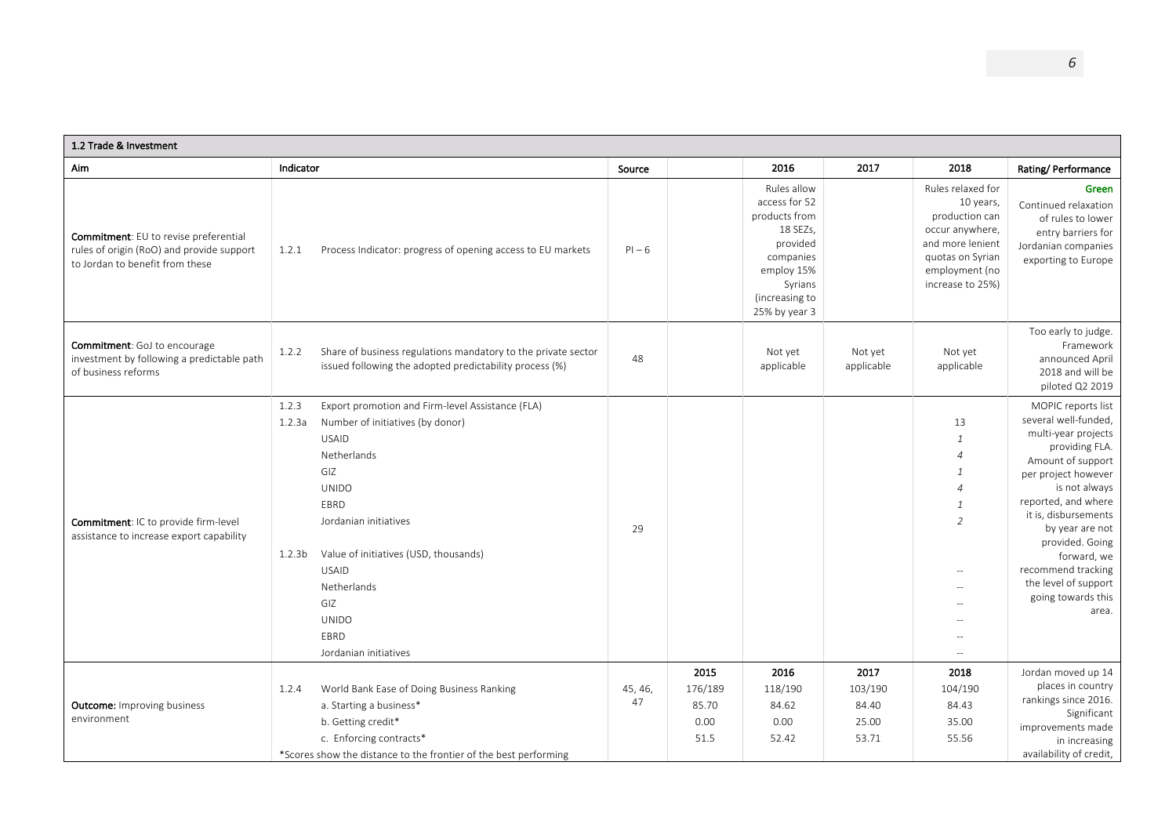| 1.2 Trade & Investment                                                                                                |                                                                                                                                                                                                                                                                                                                                                      |               |                                          |                                                                                                                                                |                                            |                                                                                                                                                                            |                                                                                                                                                                                                                                                                                                                                   |
|-----------------------------------------------------------------------------------------------------------------------|------------------------------------------------------------------------------------------------------------------------------------------------------------------------------------------------------------------------------------------------------------------------------------------------------------------------------------------------------|---------------|------------------------------------------|------------------------------------------------------------------------------------------------------------------------------------------------|--------------------------------------------|----------------------------------------------------------------------------------------------------------------------------------------------------------------------------|-----------------------------------------------------------------------------------------------------------------------------------------------------------------------------------------------------------------------------------------------------------------------------------------------------------------------------------|
| Aim                                                                                                                   | Indicator                                                                                                                                                                                                                                                                                                                                            | Source        |                                          | 2016                                                                                                                                           | 2017                                       | 2018                                                                                                                                                                       | Rating/Performance                                                                                                                                                                                                                                                                                                                |
| Commitment: EU to revise preferential<br>rules of origin (RoO) and provide support<br>to Jordan to benefit from these | Process Indicator: progress of opening access to EU markets<br>1.2.1                                                                                                                                                                                                                                                                                 | $PI - 6$      |                                          | Rules allow<br>access for 52<br>products from<br>18 SEZs,<br>provided<br>companies<br>employ 15%<br>Syrians<br>(increasing to<br>25% by year 3 |                                            | Rules relaxed for<br>10 years,<br>production can<br>occur anywhere,<br>and more lenient<br>quotas on Syrian<br>employment (no<br>increase to 25%)                          | Green<br>Continued relaxation<br>of rules to lower<br>entry barriers for<br>Jordanian companies<br>exporting to Europe                                                                                                                                                                                                            |
| <b>Commitment:</b> GoJ to encourage<br>investment by following a predictable path<br>of business reforms              | Share of business regulations mandatory to the private sector<br>1.2.2<br>issued following the adopted predictability process (%)                                                                                                                                                                                                                    | 48            |                                          | Not yet<br>applicable                                                                                                                          | Not yet<br>applicable                      | Not yet<br>applicable                                                                                                                                                      | Too early to judge.<br>Framework<br>announced April<br>2018 and will be<br>piloted Q2 2019                                                                                                                                                                                                                                        |
| Commitment: IC to provide firm-level<br>assistance to increase export capability                                      | 1.2.3<br>Export promotion and Firm-level Assistance (FLA)<br>Number of initiatives (by donor)<br>1.2.3a<br><b>USAID</b><br>Netherlands<br>GIZ<br><b>UNIDO</b><br>EBRD<br>Jordanian initiatives<br>Value of initiatives (USD, thousands)<br>1.2.3 <sub>b</sub><br><b>USAID</b><br>Netherlands<br>GIZ<br><b>UNIDO</b><br>EBRD<br>Jordanian initiatives | 29            |                                          |                                                                                                                                                |                                            | 13<br>$\mathbf{1}$<br>$\overline{4}$<br>1<br>$\overline{4}$<br>$\overline{1}$<br>$\overline{2}$<br>$\sim$<br>$\sim$<br>$\hspace{0.05cm} -\hspace{0.05cm} -\hspace{0.05cm}$ | MOPIC reports list<br>several well-funded,<br>multi-year projects<br>providing FLA.<br>Amount of support<br>per project however<br>is not always<br>reported, and where<br>it is, disbursements<br>by year are not<br>provided. Going<br>forward, we<br>recommend tracking<br>the level of support<br>going towards this<br>area. |
| <b>Outcome:</b> Improving business<br>environment                                                                     | World Bank Ease of Doing Business Ranking<br>1.2.4<br>a. Starting a business*<br>b. Getting credit*<br>c. Enforcing contracts*<br>*Scores show the distance to the frontier of the best performing                                                                                                                                                   | 45, 46,<br>47 | 2015<br>176/189<br>85.70<br>0.00<br>51.5 | 2016<br>118/190<br>84.62<br>0.00<br>52.42                                                                                                      | 2017<br>103/190<br>84.40<br>25.00<br>53.71 | 2018<br>104/190<br>84.43<br>35.00<br>55.56                                                                                                                                 | Jordan moved up 14<br>places in country<br>rankings since 2016.<br>Significant<br>improvements made<br>in increasing<br>availability of credit,                                                                                                                                                                                   |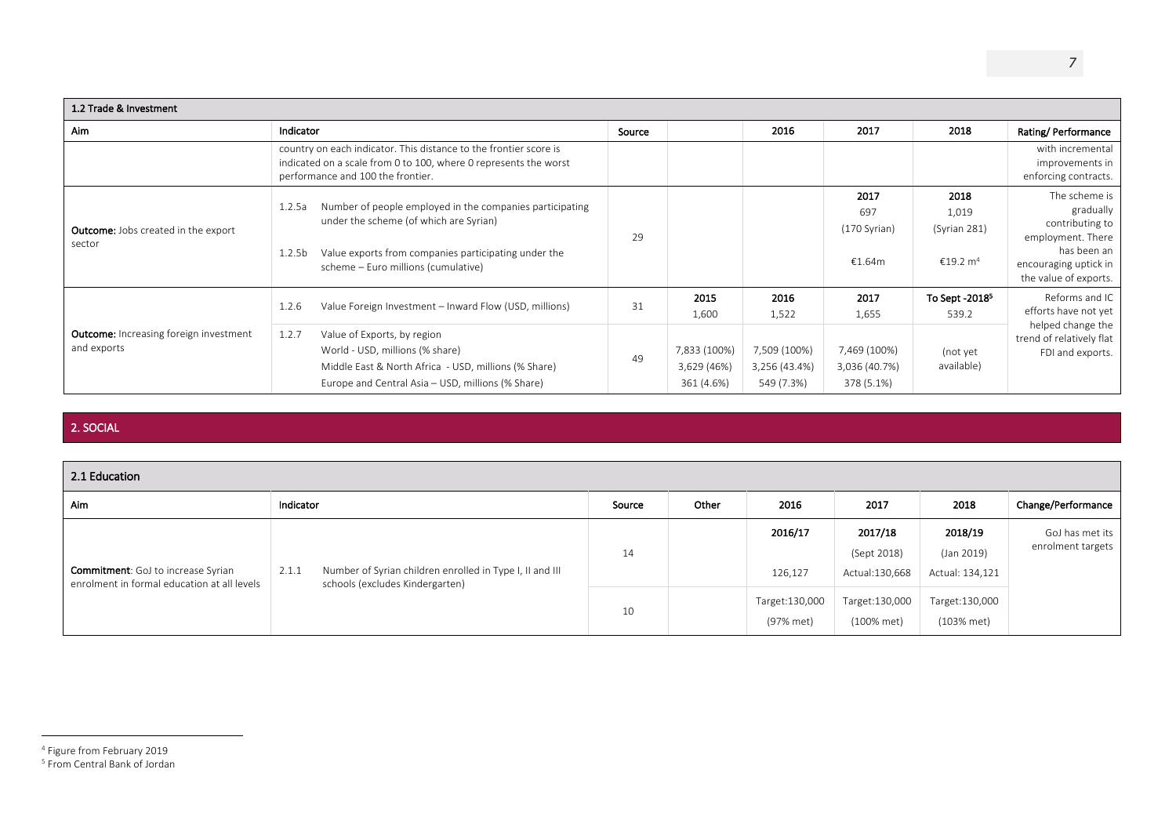| 1.2 Trade & Investment                                       |                                                                                                                                                                                                                                   |        |                                           |                                             |                                             |                                                       |                                                                                                                                     |  |  |  |
|--------------------------------------------------------------|-----------------------------------------------------------------------------------------------------------------------------------------------------------------------------------------------------------------------------------|--------|-------------------------------------------|---------------------------------------------|---------------------------------------------|-------------------------------------------------------|-------------------------------------------------------------------------------------------------------------------------------------|--|--|--|
| <b>Aim</b>                                                   | Indicator                                                                                                                                                                                                                         | Source |                                           | 2016                                        | 2017                                        | 2018                                                  | Rating/Performance                                                                                                                  |  |  |  |
|                                                              | country on each indicator. This distance to the frontier score is<br>indicated on a scale from 0 to 100, where 0 represents the worst<br>performance and 100 the frontier.                                                        |        |                                           |                                             |                                             |                                                       | with incremental<br>improvements in<br>enforcing contracts.                                                                         |  |  |  |
| <b>Outcome:</b> Jobs created in the export<br>sector         | Number of people employed in the companies participating<br>1.2.5a<br>under the scheme (of which are Syrian)<br>Value exports from companies participating under the<br>1.2.5 <sub>b</sub><br>scheme - Euro millions (cumulative) | 29     |                                           |                                             | 2017<br>697<br>(170 Syrian)<br>€1.64m       | 2018<br>1,019<br>(Syrian 281)<br>€19.2 m <sup>4</sup> | The scheme is<br>gradually<br>contributing to<br>employment. There<br>has been an<br>encouraging uptick in<br>the value of exports. |  |  |  |
|                                                              | Value Foreign Investment - Inward Flow (USD, millions)<br>1.2.6                                                                                                                                                                   | 31     | 2015<br>1,600                             | 2016<br>1,522                               | 2017<br>1,655                               | To Sept -2018 <sup>5</sup><br>539.2                   | Reforms and IC<br>efforts have not yet                                                                                              |  |  |  |
| <b>Outcome:</b> Increasing foreign investment<br>and exports | 1.2.7<br>Value of Exports, by region<br>World - USD, millions (% share)<br>Middle East & North Africa - USD, millions (% Share)<br>Europe and Central Asia - USD, millions (% Share)                                              | 49     | 7,833 (100%)<br>3,629 (46%)<br>361 (4.6%) | 7,509 (100%)<br>3,256 (43.4%)<br>549 (7.3%) | 7,469 (100%)<br>3,036 (40.7%)<br>378 (5.1%) | (not yet<br>available)                                | helped change the<br>trend of relatively flat<br>FDI and exports.                                                                   |  |  |  |

### 2. SOCIAL

| 2.1 Education                                                                            |                                                                                                      |        |       |                             |                                            |                                          |                                      |  |  |  |
|------------------------------------------------------------------------------------------|------------------------------------------------------------------------------------------------------|--------|-------|-----------------------------|--------------------------------------------|------------------------------------------|--------------------------------------|--|--|--|
| Aim                                                                                      | Indicator                                                                                            | Source | Other | 2016                        | 2017                                       | 2018                                     | Change/Performance                   |  |  |  |
| <b>Commitment:</b> GoJ to increase Syrian<br>enrolment in formal education at all levels | Number of Syrian children enrolled in Type I, II and III<br>2.1.1<br>schools (excludes Kindergarten) | 14     |       | 2016/17<br>126,127          | 2017/18<br>(Sept 2018)<br>Actual: 130, 668 | 2018/19<br>(Jan 2019)<br>Actual: 134,121 | GoJ has met its<br>enrolment targets |  |  |  |
|                                                                                          |                                                                                                      | 10     |       | Target:130,000<br>(97% met) | Target: 130,000<br>(100% met)              | Target: 130,000<br>(103% met)            |                                      |  |  |  |

<sup>4</sup> Figure from February 2019

<sup>5</sup> From Central Bank of Jordan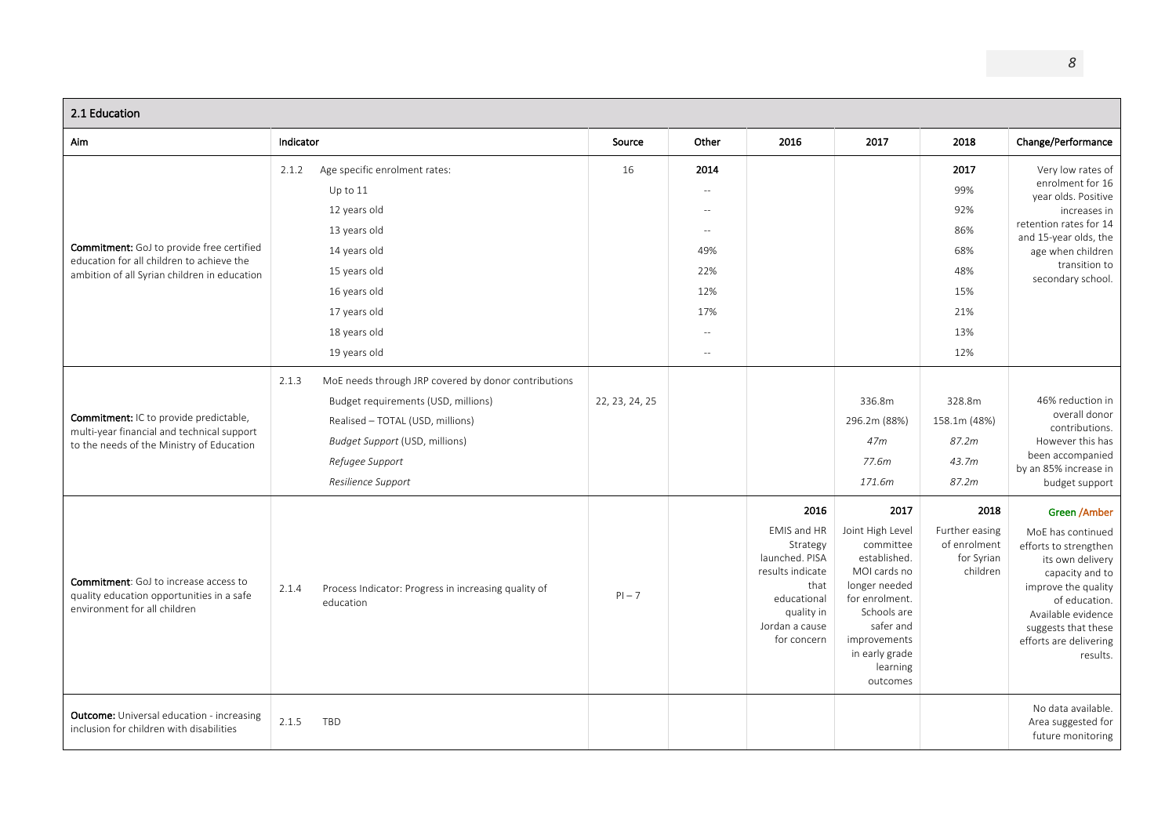| 2.1 Education                                                                                                                                 |                                                                                                                                                                                                                     |                |                                                                          |                                                                                                                                             |                                                                                                                                                                                                |                                                                     |                                                                                                                                                                                                                              |
|-----------------------------------------------------------------------------------------------------------------------------------------------|---------------------------------------------------------------------------------------------------------------------------------------------------------------------------------------------------------------------|----------------|--------------------------------------------------------------------------|---------------------------------------------------------------------------------------------------------------------------------------------|------------------------------------------------------------------------------------------------------------------------------------------------------------------------------------------------|---------------------------------------------------------------------|------------------------------------------------------------------------------------------------------------------------------------------------------------------------------------------------------------------------------|
| Aim                                                                                                                                           | Indicator                                                                                                                                                                                                           | Source         | Other                                                                    | 2016                                                                                                                                        | 2017                                                                                                                                                                                           | 2018                                                                | Change/Performance                                                                                                                                                                                                           |
| <b>Commitment:</b> GoJ to provide free certified<br>education for all children to achieve the<br>ambition of all Syrian children in education | 2.1.2<br>Age specific enrolment rates:<br>Up to $11$<br>12 years old<br>13 years old<br>14 years old<br>15 years old<br>16 years old<br>17 years old<br>18 years old<br>19 years old                                | 16             | 2014<br>$\sim$<br>$\sim$<br>49%<br>22%<br>12%<br>17%<br>$\sim$<br>$\sim$ |                                                                                                                                             |                                                                                                                                                                                                | 2017<br>99%<br>92%<br>86%<br>68%<br>48%<br>15%<br>21%<br>13%<br>12% | Very low rates of<br>enrolment for 16<br>year olds. Positive<br>increases in<br>retention rates for 14<br>and 15-year olds, the<br>age when children<br>transition to<br>secondary school.                                   |
| <b>Commitment:</b> IC to provide predictable,<br>multi-year financial and technical support<br>to the needs of the Ministry of Education      | MoE needs through JRP covered by donor contributions<br>2.1.3<br>Budget requirements (USD, millions)<br>Realised - TOTAL (USD, millions)<br>Budget Support (USD, millions)<br>Refugee Support<br>Resilience Support | 22, 23, 24, 25 |                                                                          |                                                                                                                                             | 336.8m<br>296.2m (88%)<br>47 <sub>m</sub><br>77.6m<br>171.6m                                                                                                                                   | 328.8m<br>158.1m (48%)<br>87.2m<br>43.7m<br>87.2m                   | 46% reduction in<br>overall donor<br>contributions.<br>However this has<br>been accompanied<br>by an 85% increase in<br>budget support                                                                                       |
| <b>Commitment:</b> GoJ to increase access to<br>quality education opportunities in a safe<br>environment for all children                     | Process Indicator: Progress in increasing quality of<br>2.1.4<br>education                                                                                                                                          | $PI - 7$       |                                                                          | 2016<br>EMIS and HR<br>Strategy<br>launched. PISA<br>results indicate<br>that<br>educational<br>quality in<br>Jordan a cause<br>for concern | 2017<br>Joint High Level<br>committee<br>established.<br>MOI cards no<br>longer needed<br>for enrolment.<br>Schools are<br>safer and<br>improvements<br>in early grade<br>learning<br>outcomes | 2018<br>Further easing<br>of enrolment<br>for Syrian<br>children    | Green /Amber<br>MoE has continued<br>efforts to strengthen<br>its own delivery<br>capacity and to<br>improve the quality<br>of education.<br>Available evidence<br>suggests that these<br>efforts are delivering<br>results. |
| <b>Outcome:</b> Universal education - increasing<br>inclusion for children with disabilities                                                  | TBD<br>2.1.5                                                                                                                                                                                                        |                |                                                                          |                                                                                                                                             |                                                                                                                                                                                                |                                                                     | No data available.<br>Area suggested for<br>future monitoring                                                                                                                                                                |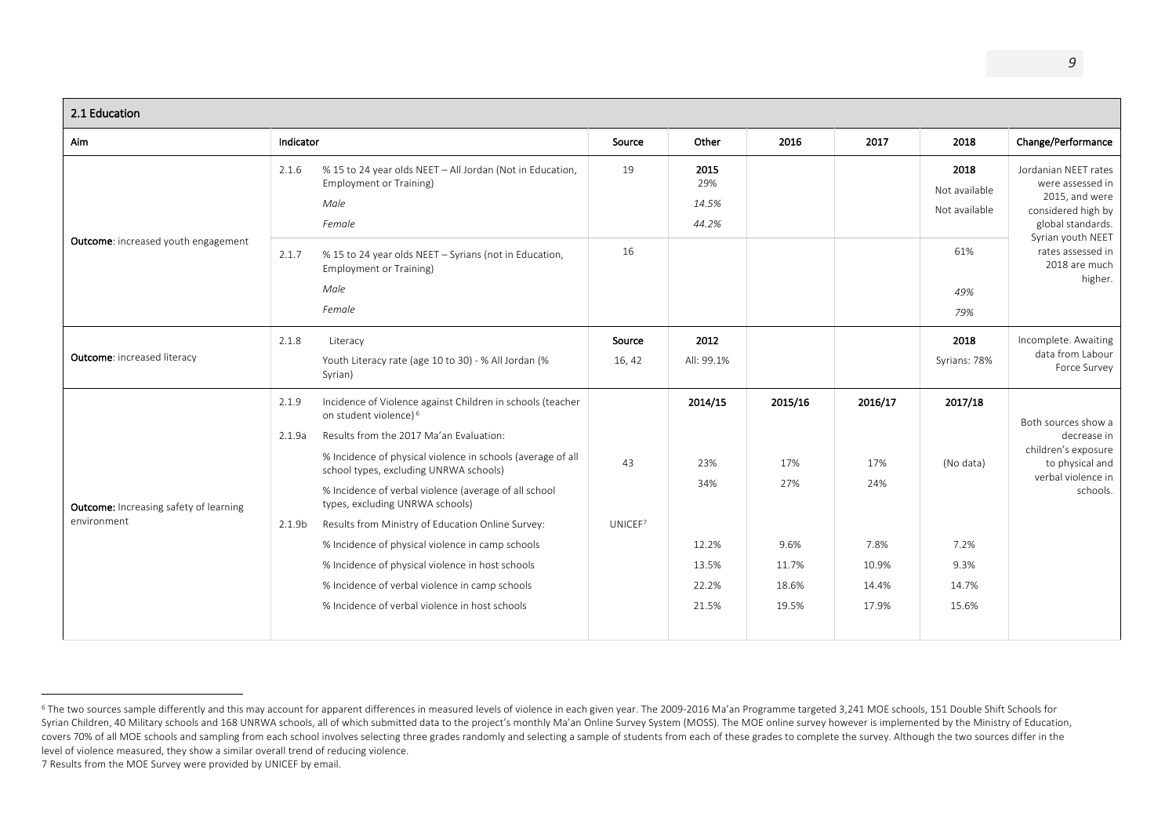| 2.1 Education                                                |                                                                                                                                                                                                                                                                                                                                                                                                                                                                                                                                                                                                                                               |                  |                                                           |                                                          |                                                          |                                                        |                                                                                                                |  |
|--------------------------------------------------------------|-----------------------------------------------------------------------------------------------------------------------------------------------------------------------------------------------------------------------------------------------------------------------------------------------------------------------------------------------------------------------------------------------------------------------------------------------------------------------------------------------------------------------------------------------------------------------------------------------------------------------------------------------|------------------|-----------------------------------------------------------|----------------------------------------------------------|----------------------------------------------------------|--------------------------------------------------------|----------------------------------------------------------------------------------------------------------------|--|
| Aim                                                          | Indicator                                                                                                                                                                                                                                                                                                                                                                                                                                                                                                                                                                                                                                     | Source           | Other                                                     | 2016                                                     | 2017                                                     | 2018                                                   | Change/Performance                                                                                             |  |
|                                                              | % 15 to 24 year olds NEET - All Jordan (Not in Education,<br>2.1.6<br><b>Employment or Training)</b><br>Male<br>Female                                                                                                                                                                                                                                                                                                                                                                                                                                                                                                                        | 19               | 2015<br>29%<br>14.5%<br>44.2%                             |                                                          |                                                          | 2018<br>Not available<br>Not available                 | Jordanian NEET rates<br>were assessed in<br>2015, and were<br>considered high by<br>global standards.          |  |
| Outcome: increased youth engagement                          | % 15 to 24 year olds NEET - Syrians (not in Education,<br>2.1.7<br><b>Employment or Training)</b><br>Male<br>Female                                                                                                                                                                                                                                                                                                                                                                                                                                                                                                                           | 16               |                                                           |                                                          |                                                          | 61%<br>49%<br>79%                                      | Syrian youth NEET<br>rates assessed in<br>2018 are much<br>higher.                                             |  |
| <b>Outcome: increased literacy</b>                           | 2.1.8<br>Literacy<br>Youth Literacy rate (age 10 to 30) - % All Jordan (%<br>Syrian)                                                                                                                                                                                                                                                                                                                                                                                                                                                                                                                                                          | Source<br>16, 42 | 2012<br>All: 99.1%                                        |                                                          |                                                          | 2018<br>Syrians: 78%                                   | Incomplete. Awaiting<br>data from Labour<br>Force Survey                                                       |  |
| <b>Outcome:</b> Increasing safety of learning<br>environment | Incidence of Violence against Children in schools (teacher<br>2.1.9<br>on student violence) <sup>6</sup><br>Results from the 2017 Ma'an Evaluation:<br>2.1.9a<br>% Incidence of physical violence in schools (average of all<br>school types, excluding UNRWA schools)<br>% Incidence of verbal violence (average of all school<br>types, excluding UNRWA schools)<br>Results from Ministry of Education Online Survey:<br>2.1.9b<br>% Incidence of physical violence in camp schools<br>% Incidence of physical violence in host schools<br>% Incidence of verbal violence in camp schools<br>% Incidence of verbal violence in host schools | 43<br>UNICEF7    | 2014/15<br>23%<br>34%<br>12.2%<br>13.5%<br>22.2%<br>21.5% | 2015/16<br>17%<br>27%<br>9.6%<br>11.7%<br>18.6%<br>19.5% | 2016/17<br>17%<br>24%<br>7.8%<br>10.9%<br>14.4%<br>17.9% | 2017/18<br>(No data)<br>7.2%<br>9.3%<br>14.7%<br>15.6% | Both sources show a<br>decrease in<br>children's exposure<br>to physical and<br>verbal violence in<br>schools. |  |

<sup>&</sup>lt;sup>6</sup> The two sources sample differently and this may account for apparent differences in measured levels of violence in each given year. The 2009-2016 Ma'an Programme targeted 3,241 MOE schools, 151 Double Shift Schools for Syrian Children, 40 Military schools and 168 UNRWA schools, all of which submitted data to the project's monthly Ma'an Online Survey System (MOSS). The MOE online survey however is implemented by the Ministry of Education, covers 70% of all MOE schools and sampling from each school involves selecting three grades randomly and selecting a sample of students from each of these grades to complete the survey. Although the two sources differ in t level of violence measured, they show a similar overall trend of reducing violence.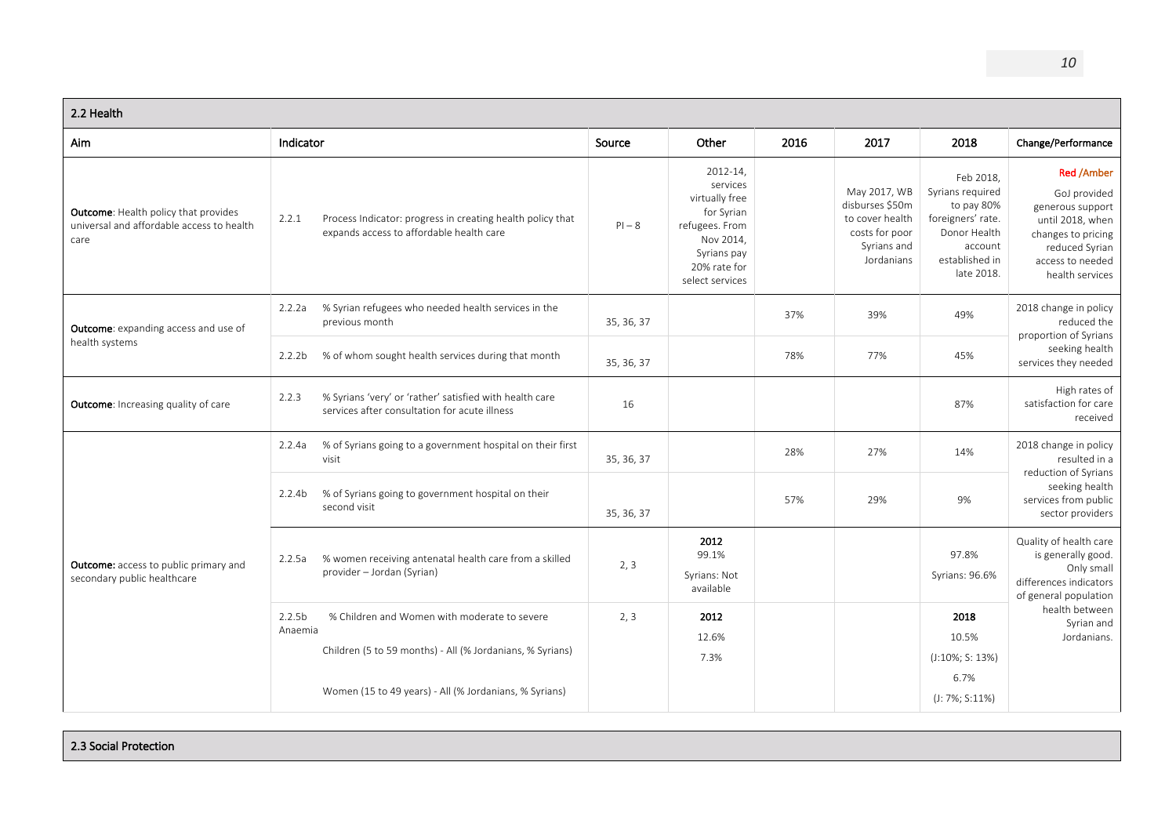| 2.2 Health                                                                                       |                                                                                                                                            |            |                                                                                                                                       |      |                                                                                                   |                                                                                                                             |                                                                                                                                                          |
|--------------------------------------------------------------------------------------------------|--------------------------------------------------------------------------------------------------------------------------------------------|------------|---------------------------------------------------------------------------------------------------------------------------------------|------|---------------------------------------------------------------------------------------------------|-----------------------------------------------------------------------------------------------------------------------------|----------------------------------------------------------------------------------------------------------------------------------------------------------|
| Aim                                                                                              | Indicator                                                                                                                                  | Source     | Other                                                                                                                                 | 2016 | 2017                                                                                              | 2018                                                                                                                        | Change/Performance                                                                                                                                       |
| <b>Outcome:</b> Health policy that provides<br>universal and affordable access to health<br>care | 2.2.1<br>Process Indicator: progress in creating health policy that<br>expands access to affordable health care                            | $PI - 8$   | 2012-14,<br>services<br>virtually free<br>for Syrian<br>refugees. From<br>Nov 2014,<br>Syrians pay<br>20% rate for<br>select services |      | May 2017, WB<br>disburses \$50m<br>to cover health<br>costs for poor<br>Syrians and<br>Jordanians | Feb 2018.<br>Syrians required<br>to pay 80%<br>foreigners' rate.<br>Donor Health<br>account<br>established in<br>late 2018. | <b>Red /Amber</b><br>GoJ provided<br>generous support<br>until 2018, when<br>changes to pricing<br>reduced Syrian<br>access to needed<br>health services |
| <b>Outcome:</b> expanding access and use of<br>health systems                                    | % Syrian refugees who needed health services in the<br>2.2.2a<br>previous month                                                            | 35, 36, 37 |                                                                                                                                       | 37%  | 39%                                                                                               | 49%                                                                                                                         | 2018 change in policy<br>reduced the<br>proportion of Syrians                                                                                            |
|                                                                                                  | % of whom sought health services during that month<br>2.2.2 <sub>b</sub><br>35, 36, 37                                                     |            |                                                                                                                                       | 78%  | 77%                                                                                               | 45%                                                                                                                         | seeking health<br>services they needed                                                                                                                   |
| <b>Outcome:</b> Increasing quality of care                                                       | % Syrians 'very' or 'rather' satisfied with health care<br>2.2.3<br>services after consultation for acute illness                          | 16         |                                                                                                                                       |      |                                                                                                   | 87%                                                                                                                         | High rates of<br>satisfaction for care<br>received                                                                                                       |
|                                                                                                  | % of Syrians going to a government hospital on their first<br>2.2.4a<br>visit                                                              | 35, 36, 37 |                                                                                                                                       | 28%  | 27%                                                                                               | 14%                                                                                                                         | 2018 change in policy<br>resulted in a                                                                                                                   |
|                                                                                                  | % of Syrians going to government hospital on their<br>2.2.4 <sub>b</sub><br>second visit                                                   | 35, 36, 37 |                                                                                                                                       | 57%  | 29%                                                                                               | 9%                                                                                                                          | reduction of Syrians<br>seeking health<br>services from public<br>sector providers                                                                       |
| <b>Outcome:</b> access to public primary and<br>secondary public healthcare                      | % women receiving antenatal health care from a skilled<br>2.2.5a<br>provider - Jordan (Syrian)                                             | 2, 3       | 2012<br>99.1%<br>Syrians: Not<br>available                                                                                            |      |                                                                                                   | 97.8%<br>Syrians: 96.6%                                                                                                     | Quality of health care<br>is generally good.<br>Only small<br>differences indicators<br>of general population                                            |
|                                                                                                  | 2.2.5 <sub>b</sub><br>% Children and Women with moderate to severe<br>Anaemia<br>Children (5 to 59 months) - All (% Jordanians, % Syrians) | 2, 3       | 2012<br>12.6%<br>7.3%                                                                                                                 |      |                                                                                                   | 2018<br>10.5%<br>$(J:10\%; S: 13\%)$<br>6.7%                                                                                | health between<br>Syrian and<br>Jordanians.                                                                                                              |
|                                                                                                  | Women (15 to 49 years) - All (% Jordanians, % Syrians)                                                                                     |            |                                                                                                                                       |      |                                                                                                   | $(J: 7\%; S:11\%)$                                                                                                          |                                                                                                                                                          |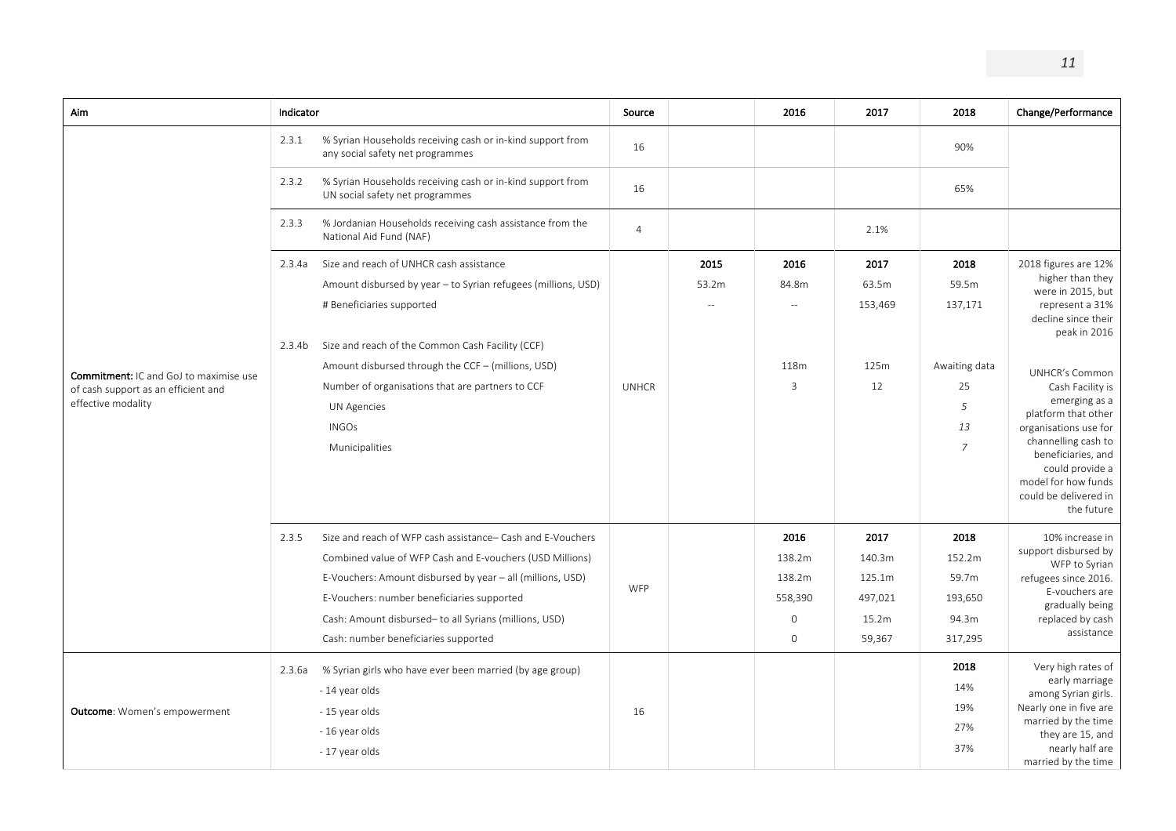| Aim                                                                                                        | Indicator        |                                                                                                                                                                                                                                                                                                                                                      | Source         |               | 2016                                                              | 2017                                                   | 2018                                                                         | Change/Performance                                                                                                                                                                                                                                                                                                                                                  |
|------------------------------------------------------------------------------------------------------------|------------------|------------------------------------------------------------------------------------------------------------------------------------------------------------------------------------------------------------------------------------------------------------------------------------------------------------------------------------------------------|----------------|---------------|-------------------------------------------------------------------|--------------------------------------------------------|------------------------------------------------------------------------------|---------------------------------------------------------------------------------------------------------------------------------------------------------------------------------------------------------------------------------------------------------------------------------------------------------------------------------------------------------------------|
|                                                                                                            | 2.3.1            | % Syrian Households receiving cash or in-kind support from<br>any social safety net programmes                                                                                                                                                                                                                                                       | 16             |               |                                                                   |                                                        | 90%                                                                          |                                                                                                                                                                                                                                                                                                                                                                     |
|                                                                                                            | 2.3.2            | % Syrian Households receiving cash or in-kind support from<br>UN social safety net programmes                                                                                                                                                                                                                                                        | 16             |               |                                                                   |                                                        | 65%                                                                          |                                                                                                                                                                                                                                                                                                                                                                     |
|                                                                                                            | 2.3.3            | % Jordanian Households receiving cash assistance from the<br>National Aid Fund (NAF)                                                                                                                                                                                                                                                                 | $\overline{4}$ |               |                                                                   | 2.1%                                                   |                                                                              |                                                                                                                                                                                                                                                                                                                                                                     |
| <b>Commitment: IC and GoJ to maximise use</b><br>of cash support as an efficient and<br>effective modality | 2.3.4a<br>2.3.4b | Size and reach of UNHCR cash assistance<br>Amount disbursed by year - to Syrian refugees (millions, USD)<br># Beneficiaries supported<br>Size and reach of the Common Cash Facility (CCF)<br>Amount disbursed through the CCF - (millions, USD)<br>Number of organisations that are partners to CCF<br>UN Agencies<br><b>INGOs</b><br>Municipalities | <b>UNHCR</b>   | 2015<br>53.2m | 2016<br>84.8m<br>$\sim$<br>118m<br>3                              | 2017<br>63.5m<br>153,469<br>125m<br>12                 | 2018<br>59.5m<br>137,171<br>Awaiting data<br>25<br>5<br>13<br>$\overline{7}$ | 2018 figures are 12%<br>higher than they<br>were in 2015, but<br>represent a 31%<br>decline since their<br>peak in 2016<br><b>UNHCR's Common</b><br>Cash Facility is<br>emerging as a<br>platform that other<br>organisations use for<br>channelling cash to<br>beneficiaries, and<br>could provide a<br>model for how funds<br>could be delivered in<br>the future |
|                                                                                                            | 2.3.5            | Size and reach of WFP cash assistance- Cash and E-Vouchers<br>Combined value of WFP Cash and E-vouchers (USD Millions)<br>E-Vouchers: Amount disbursed by year - all (millions, USD)<br>E-Vouchers: number beneficiaries supported<br>Cash: Amount disbursed- to all Syrians (millions, USD)<br>Cash: number beneficiaries supported                 | WFP            |               | 2016<br>138.2m<br>138.2m<br>558,390<br>$\mathbf 0$<br>$\mathbf 0$ | 2017<br>140.3m<br>125.1m<br>497,021<br>15.2m<br>59,367 | 2018<br>152.2m<br>59.7m<br>193,650<br>94.3m<br>317,295<br>2018               | 10% increase in<br>support disbursed by<br>WFP to Syrian<br>refugees since 2016.<br>E-vouchers are<br>gradually being<br>replaced by cash<br>assistance<br>Very high rates of                                                                                                                                                                                       |
| Outcome: Women's empowerment                                                                               | 2.3.6a           | % Syrian girls who have ever been married (by age group)<br>- 14 year olds<br>- 15 year olds<br>- 16 year olds<br>- 17 year olds                                                                                                                                                                                                                     | 16             |               |                                                                   |                                                        | 14%<br>19%<br>27%<br>37%                                                     | early marriage<br>among Syrian girls.<br>Nearly one in five are<br>married by the time<br>they are 15, and<br>nearly half are<br>married by the time                                                                                                                                                                                                                |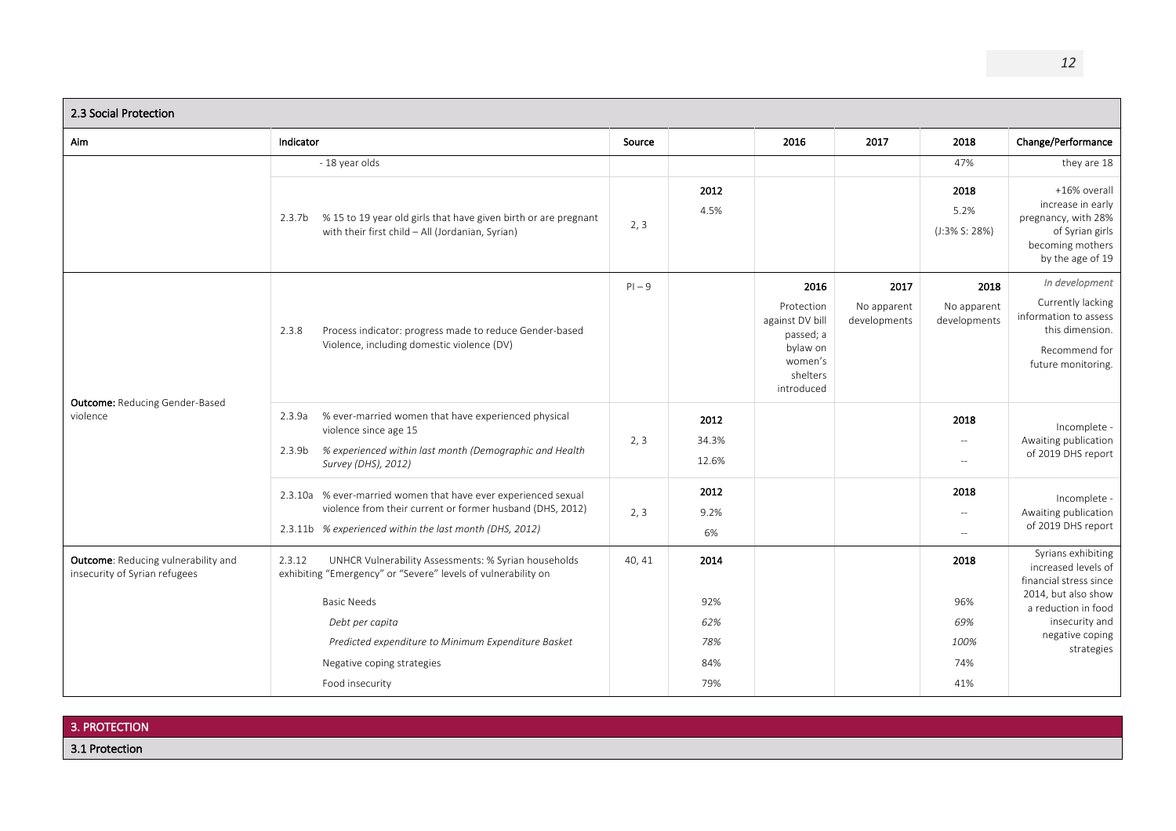| 2.3 Social Protection                                                |                                                                                                                                                                                                |        |                          |                                                                                                     |                                     |                                                              |                                                                                                                        |
|----------------------------------------------------------------------|------------------------------------------------------------------------------------------------------------------------------------------------------------------------------------------------|--------|--------------------------|-----------------------------------------------------------------------------------------------------|-------------------------------------|--------------------------------------------------------------|------------------------------------------------------------------------------------------------------------------------|
| Aim                                                                  | Indicator                                                                                                                                                                                      | Source |                          | 2016                                                                                                | 2017                                | 2018                                                         | Change/Performance                                                                                                     |
|                                                                      | - 18 year olds                                                                                                                                                                                 |        |                          |                                                                                                     |                                     | 47%                                                          | they are 18                                                                                                            |
|                                                                      | 2.3.7b % 15 to 19 year old girls that have given birth or are pregnant<br>with their first child - All (Jordanian, Syrian)                                                                     | 2, 3   | 2012<br>4.5%             |                                                                                                     |                                     | 2018<br>5.2%<br>$(J:3\% S: 28\%)$                            | +16% overall<br>increase in early<br>pregnancy, with 28%<br>of Syrian girls<br>becoming mothers<br>by the age of 19    |
| <b>Outcome: Reducing Gender-Based</b><br>violence                    | Process indicator: progress made to reduce Gender-based<br>2.3.8<br>Violence, including domestic violence (DV)                                                                                 |        |                          | 2016<br>Protection<br>against DV bill<br>passed; a<br>bylaw on<br>women's<br>shelters<br>introduced | 2017<br>No apparent<br>developments | 2018<br>No apparent<br>developments                          | In development<br>Currently lacking<br>information to assess<br>this dimension.<br>Recommend for<br>future monitoring. |
|                                                                      | % ever-married women that have experienced physical<br>2.3.9a<br>violence since age 15<br>% experienced within last month (Demographic and Health<br>2.3.9 <sub>b</sub><br>Survey (DHS), 2012) | 2, 3   | 2012<br>34.3%<br>12.6%   |                                                                                                     |                                     | 2018<br>$\sim$ $\sim$<br>$\overline{\phantom{a}}$            | Incomplete -<br>Awaiting publication<br>of 2019 DHS report                                                             |
|                                                                      | 2.3.10a % ever-married women that have ever experienced sexual<br>violence from their current or former husband (DHS, 2012)<br>2.3.11b % experienced within the last month (DHS, 2012)         | 2, 3   | 2012<br>9.2%<br>6%       |                                                                                                     |                                     | 2018<br>$\overline{\phantom{a}}$<br>$\overline{\phantom{a}}$ | Incomplete -<br>Awaiting publication<br>of 2019 DHS report                                                             |
| Outcome: Reducing vulnerability and<br>insecurity of Syrian refugees | UNHCR Vulnerability Assessments: % Syrian households<br>2.3.12<br>exhibiting "Emergency" or "Severe" levels of vulnerability on                                                                | 40, 41 | 2014                     |                                                                                                     |                                     | 2018                                                         | Syrians exhibiting<br>increased levels of<br>financial stress since                                                    |
|                                                                      | <b>Basic Needs</b><br>Debt per capita<br>Predicted expenditure to Minimum Expenditure Basket<br>Negative coping strategies                                                                     |        | 92%<br>62%<br>78%<br>84% |                                                                                                     |                                     | 96%<br>69%<br>100%<br>74%                                    | 2014, but also show<br>a reduction in food<br>insecurity and<br>negative coping<br>strategies                          |
|                                                                      | Food insecurity                                                                                                                                                                                |        | 79%                      |                                                                                                     |                                     | 41%                                                          |                                                                                                                        |

| 3. PROTECTION  |  |
|----------------|--|
| 3.1 Protection |  |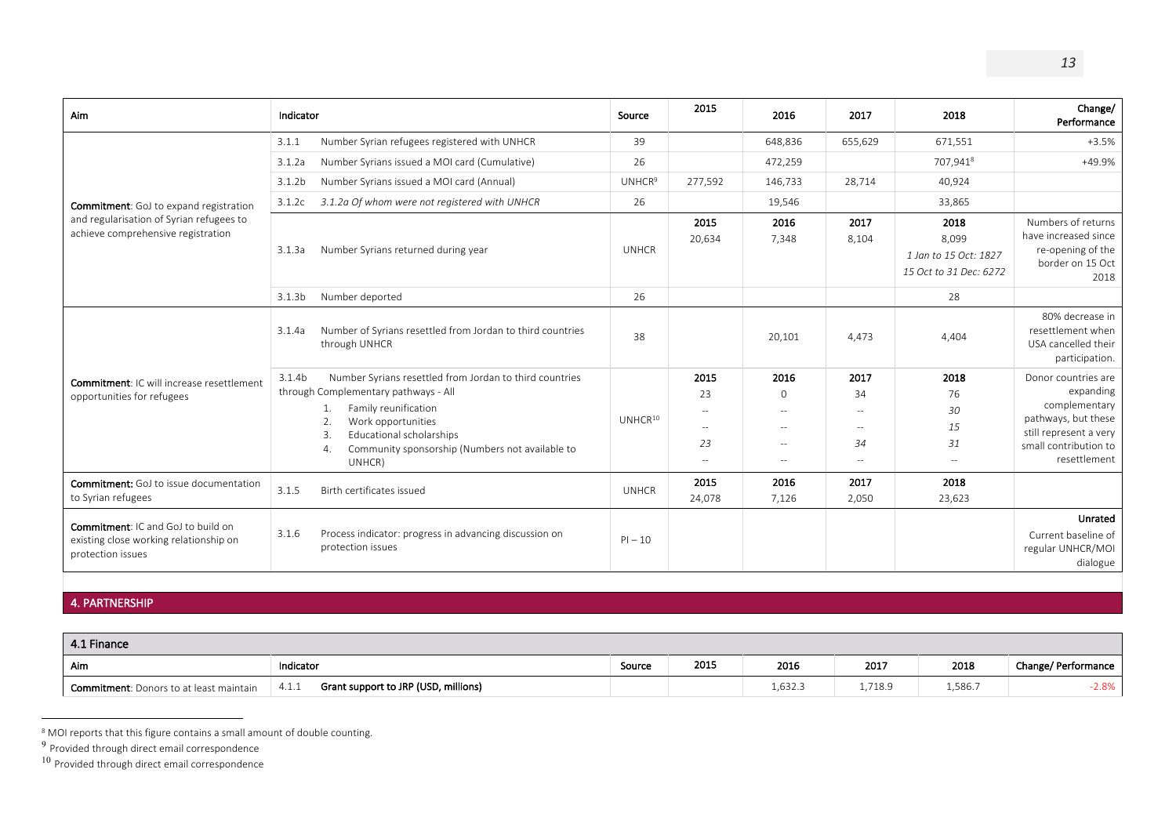| Aim                                                                                                      | Indicator                                                                                                                                                                                                                                                                                                   | Source                   | 2015                                                                                   | 2016                                            | 2017                                                                     | 2018                                                             | Change/<br>Performance                                                                                                                      |
|----------------------------------------------------------------------------------------------------------|-------------------------------------------------------------------------------------------------------------------------------------------------------------------------------------------------------------------------------------------------------------------------------------------------------------|--------------------------|----------------------------------------------------------------------------------------|-------------------------------------------------|--------------------------------------------------------------------------|------------------------------------------------------------------|---------------------------------------------------------------------------------------------------------------------------------------------|
|                                                                                                          | Number Syrian refugees registered with UNHCR<br>3.1.1                                                                                                                                                                                                                                                       |                          |                                                                                        | 648,836                                         | 655,629                                                                  | 671,551                                                          | $+3.5%$                                                                                                                                     |
|                                                                                                          | Number Syrians issued a MOI card (Cumulative)<br>3.1.2a                                                                                                                                                                                                                                                     | 26                       |                                                                                        | 472,259                                         |                                                                          | 707,9418                                                         | +49.9%                                                                                                                                      |
|                                                                                                          | 3.1.2 <sub>b</sub><br>Number Syrians issued a MOI card (Annual)                                                                                                                                                                                                                                             | <b>UNHCR<sup>9</sup></b> | 277,592                                                                                | 146,733                                         | 28,714                                                                   | 40.924                                                           |                                                                                                                                             |
| <b>Commitment:</b> GoJ to expand registration                                                            | 3.1.2c<br>3.1.2a Of whom were not registered with UNHCR                                                                                                                                                                                                                                                     | 26                       |                                                                                        | 19,546                                          |                                                                          | 33,865                                                           |                                                                                                                                             |
| and regularisation of Syrian refugees to<br>achieve comprehensive registration                           | Number Syrians returned during year<br>3.1.3a                                                                                                                                                                                                                                                               | <b>UNHCR</b>             | 2015<br>20,634                                                                         | 2016<br>7,348                                   | 2017<br>8,104                                                            | 2018<br>8,099<br>1 Jan to 15 Oct: 1827<br>15 Oct to 31 Dec: 6272 | Numbers of returns<br>have increased since<br>re-opening of the<br>border on 15 Oct<br>2018                                                 |
|                                                                                                          | Number deported<br>3.1.3 <sub>b</sub>                                                                                                                                                                                                                                                                       | 26                       |                                                                                        |                                                 |                                                                          | 28                                                               |                                                                                                                                             |
| <b>Commitment: IC will increase resettlement</b><br>opportunities for refugees                           | Number of Syrians resettled from Jordan to third countries<br>3.1.4a<br>through UNHCR                                                                                                                                                                                                                       | 38                       |                                                                                        | 20,101                                          | 4,473                                                                    | 4,404                                                            | 80% decrease in<br>resettlement when<br>USA cancelled their<br>participation.                                                               |
|                                                                                                          | Number Syrians resettled from Jordan to third countries<br>3.1.4 <sub>b</sub><br>through Complementary pathways - All<br>Family reunification<br>1.<br>Work opportunities<br>$\mathcal{P}$<br>Educational scholarships<br>3.<br>Community sponsorship (Numbers not available to<br>$\overline{4}$<br>UNHCR) | UNHCR <sup>10</sup>      | 2015<br>23<br>$\sim$ $-$<br>$\overline{\phantom{a}}$<br>23<br>$\hspace{0.05cm} \ldots$ | 2016<br>$\Omega$<br>$-$<br>$\sim$ $-$<br>$\sim$ | 2017<br>34<br>$\sim$ $-$<br>$\sim$ $-$<br>34<br>$\overline{\phantom{m}}$ | 2018<br>76<br>30<br>15<br>31<br>$\sim$ $-$                       | Donor countries are<br>expanding<br>complementary<br>pathways, but these<br>still represent a very<br>small contribution to<br>resettlement |
| <b>Commitment:</b> GoJ to issue documentation<br>to Syrian refugees                                      | Birth certificates issued<br>3.1.5                                                                                                                                                                                                                                                                          | <b>UNHCR</b>             | 2015<br>24,078                                                                         | 2016<br>7,126                                   | 2017<br>2,050                                                            | 2018<br>23,623                                                   |                                                                                                                                             |
| <b>Commitment: IC and GoJ to build on</b><br>existing close working relationship on<br>protection issues | 3.1.6<br>Process indicator: progress in advancing discussion on<br>protection issues                                                                                                                                                                                                                        | $PI - 10$                |                                                                                        |                                                 |                                                                          |                                                                  | Unrated<br>Current baseline of<br>regular UNHCR/MOI<br>dialogue                                                                             |

### 4. PARTNERSHIP

| 4.1 Finance                                     |                                               |        |      |         |         |         |                     |
|-------------------------------------------------|-----------------------------------------------|--------|------|---------|---------|---------|---------------------|
| Aim                                             | Indicator                                     | Source | 2015 | 2016    | 2017    | 2018    | Change/ Performance |
| <b>Commitment</b> : Donors to at least maintain | Grant support to JRP (USD, millions)<br>4.1.1 |        |      | 1,632.3 | 1,718.9 | 1,586.7 | $-2.8%$             |

<sup>&</sup>lt;sup>8</sup> MOI reports that this figure contains a small amount of double counting.

<sup>&</sup>lt;sup>9</sup> Provided through direct email correspondence

 $10$  Provided through direct email correspondence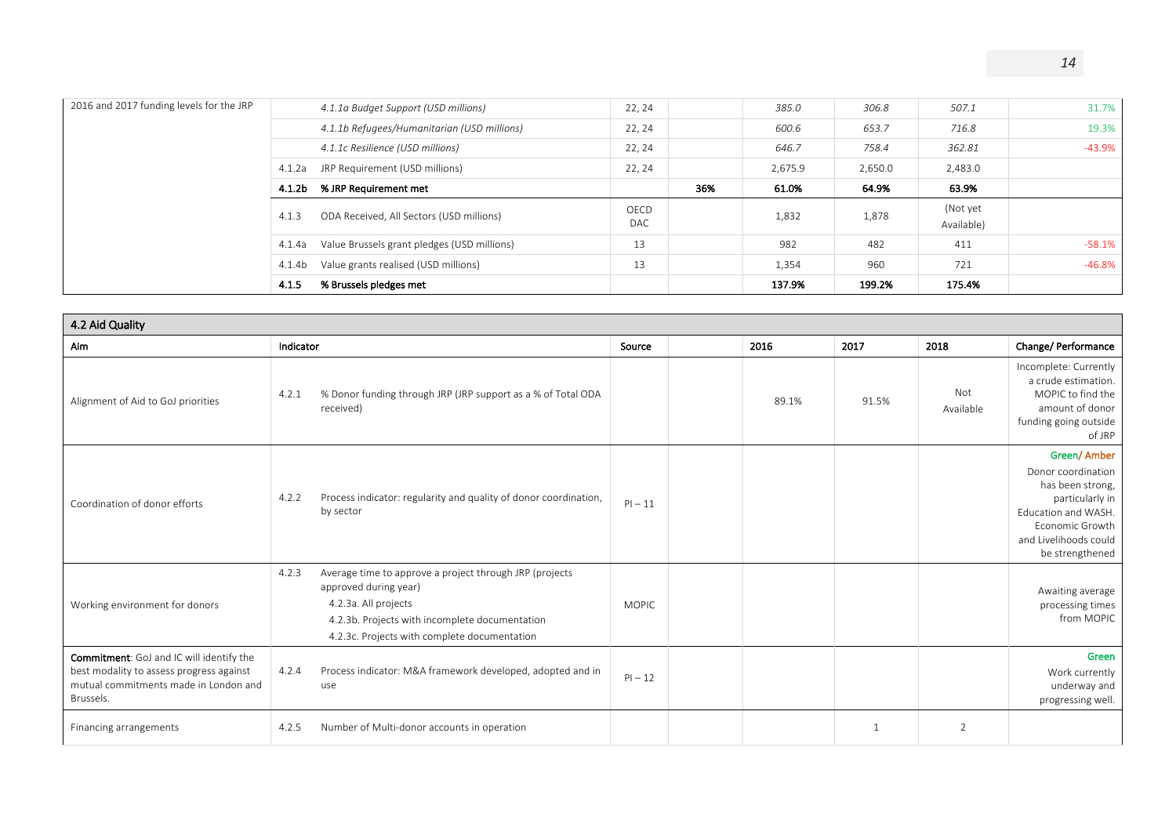|             |     | 137.9%  | 199.2%  | 175.4%                 |          |
|-------------|-----|---------|---------|------------------------|----------|
| 13          |     | 1,354   | 960     | 721                    | -46.8%   |
| 13          |     | 982     | 482     | 411                    | $-58.1%$ |
| OECD<br>DAC |     | 1,832   | 1,878   | (Not yet<br>Available) |          |
|             | 36% | 61.0%   | 64.9%   | 63.9%                  |          |
| 22, 24      |     | 2,675.9 | 2,650.0 | 2,483.0                |          |
| 22, 24      |     | 646.7   | 758.4   | 362.81                 | -43.9%   |
| 22, 24      |     | 600.6   | 653.7   | 716.8                  | 19.3%    |
| 22, 24      |     | 385.0   | 306.8   | 507.1                  | 31.7%    |
|             |     |         |         |                        |          |

| 4.2 Aid Quality                                                                                                                            |                                                                                                                                                                                                                     |              |      |                |                  |                                                                                                                                                                |
|--------------------------------------------------------------------------------------------------------------------------------------------|---------------------------------------------------------------------------------------------------------------------------------------------------------------------------------------------------------------------|--------------|------|----------------|------------------|----------------------------------------------------------------------------------------------------------------------------------------------------------------|
| Aim                                                                                                                                        | Indicator                                                                                                                                                                                                           | Source       | 2016 | 2017           | 2018             | Change/ Performance                                                                                                                                            |
| Alignment of Aid to GoJ priorities                                                                                                         | % Donor funding through JRP (JRP support as a % of Total ODA<br>4.2.1<br>received)                                                                                                                                  |              |      | 89.1%<br>91.5% | Not<br>Available | Incomplete: Currently<br>a crude estimation.<br>MOPIC to find the<br>amount of donor<br>funding going outside<br>of JRP                                        |
| Coordination of donor efforts                                                                                                              | Process indicator: regularity and quality of donor coordination,<br>4.2.2<br>by sector                                                                                                                              | $PI - 11$    |      |                |                  | Green/Amber<br>Donor coordination<br>has been strong,<br>particularly in<br>Education and WASH.<br>Economic Growth<br>and Livelihoods could<br>be strengthened |
| Working environment for donors                                                                                                             | Average time to approve a project through JRP (projects<br>4.2.3<br>approved during year)<br>4.2.3a. All projects<br>4.2.3b. Projects with incomplete documentation<br>4.2.3c. Projects with complete documentation | <b>MOPIC</b> |      |                |                  | Awaiting average<br>processing times<br>from MOPIC                                                                                                             |
| Commitment: GoJ and IC will identify the<br>best modality to assess progress against<br>mutual commitments made in London and<br>Brussels. | Process indicator: M&A framework developed, adopted and in<br>4.2.4<br>use                                                                                                                                          | $PI - 12$    |      |                |                  | Green<br>Work currently<br>underway and<br>progressing well.                                                                                                   |
| Financing arrangements                                                                                                                     | Number of Multi-donor accounts in operation<br>4.2.5                                                                                                                                                                |              |      | $\mathbf{1}$   | 2                |                                                                                                                                                                |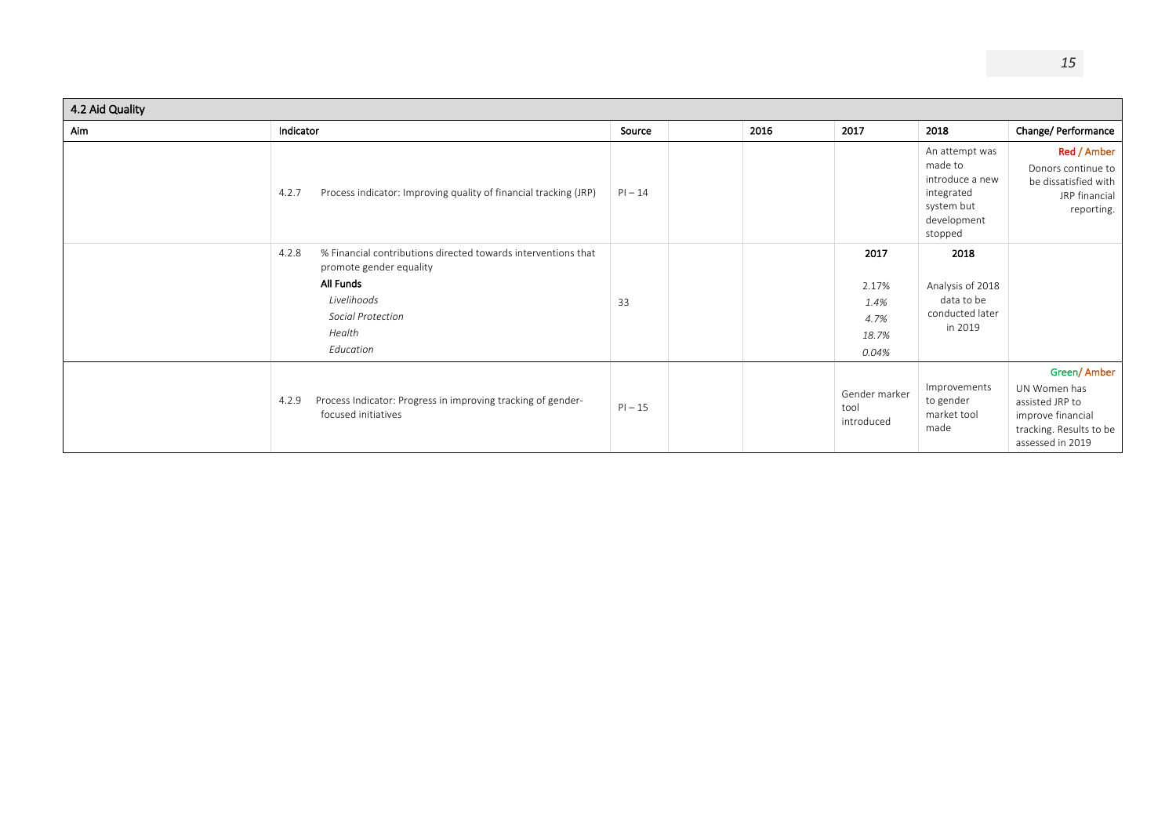| 4.2 Aid Quality |                                                                                                                                                                           |           |      |                                                 |                                                                                                    |                                                                                                                    |
|-----------------|---------------------------------------------------------------------------------------------------------------------------------------------------------------------------|-----------|------|-------------------------------------------------|----------------------------------------------------------------------------------------------------|--------------------------------------------------------------------------------------------------------------------|
| Aim             | Indicator                                                                                                                                                                 | Source    | 2016 | 2017                                            | 2018                                                                                               | Change/ Performance                                                                                                |
|                 | 4.2.7<br>Process indicator: Improving quality of financial tracking (JRP)                                                                                                 | $PI - 14$ |      |                                                 | An attempt was<br>made to<br>introduce a new<br>integrated<br>system but<br>development<br>stopped | Red / Amber<br>Donors continue to<br>be dissatisfied with<br>JRP financial<br>reporting.                           |
|                 | % Financial contributions directed towards interventions that<br>4.2.8<br>promote gender equality<br>All Funds<br>Livelihoods<br>Social Protection<br>Health<br>Education | 33        |      | 2017<br>2.17%<br>1.4%<br>4.7%<br>18.7%<br>0.04% | 2018<br>Analysis of 2018<br>data to be<br>conducted later<br>in 2019                               |                                                                                                                    |
|                 | Process Indicator: Progress in improving tracking of gender-<br>4.2.9<br>focused initiatives                                                                              | $PI - 15$ |      | Gender marker<br>tool<br>introduced             | Improvements<br>to gender<br>market tool<br>made                                                   | Green/Amber<br>UN Women has<br>assisted JRP to<br>improve financial<br>tracking. Results to be<br>assessed in 2019 |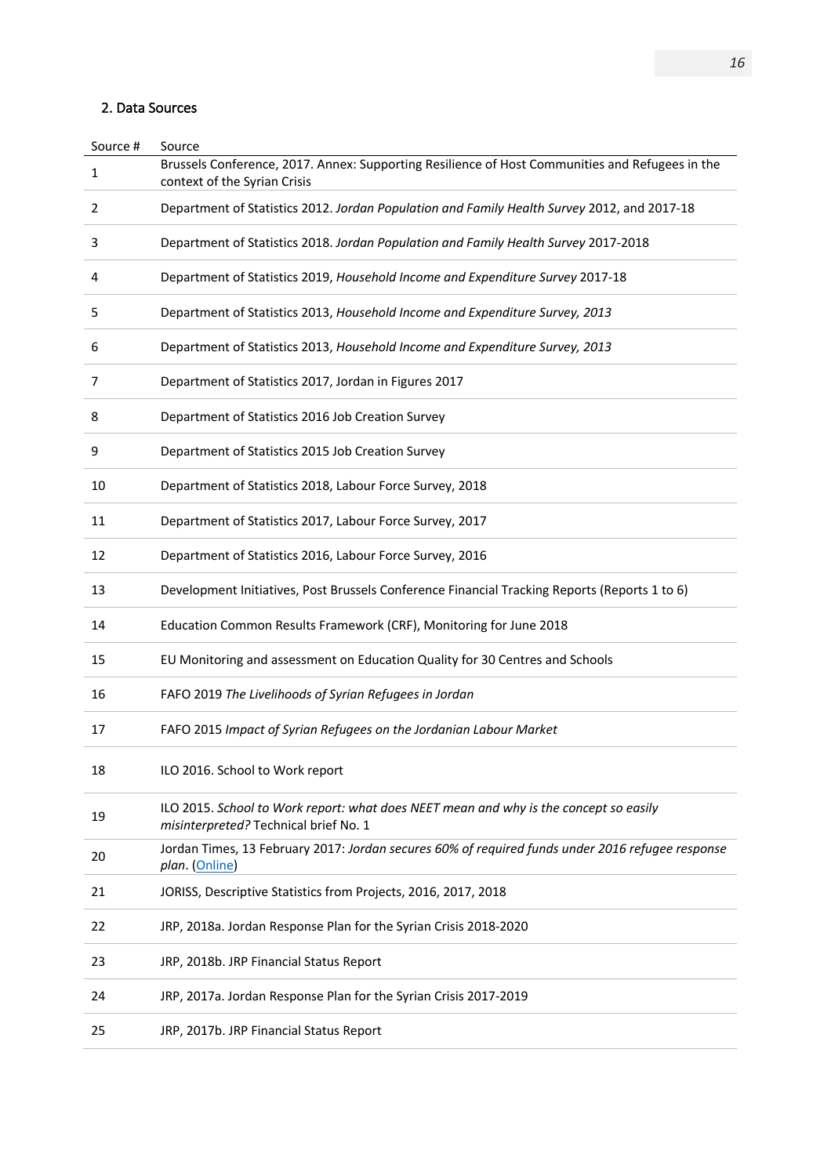### 2. Data Sources

| Source # | Source                                                                                                                          |
|----------|---------------------------------------------------------------------------------------------------------------------------------|
| 1        | Brussels Conference, 2017. Annex: Supporting Resilience of Host Communities and Refugees in the<br>context of the Syrian Crisis |
| 2        | Department of Statistics 2012. Jordan Population and Family Health Survey 2012, and 2017-18                                     |
| 3        | Department of Statistics 2018. Jordan Population and Family Health Survey 2017-2018                                             |
| 4        | Department of Statistics 2019, Household Income and Expenditure Survey 2017-18                                                  |
| 5        | Department of Statistics 2013, Household Income and Expenditure Survey, 2013                                                    |
| 6        | Department of Statistics 2013, Household Income and Expenditure Survey, 2013                                                    |
| 7        | Department of Statistics 2017, Jordan in Figures 2017                                                                           |
| 8        | Department of Statistics 2016 Job Creation Survey                                                                               |
| 9        | Department of Statistics 2015 Job Creation Survey                                                                               |
| 10       | Department of Statistics 2018, Labour Force Survey, 2018                                                                        |
| 11       | Department of Statistics 2017, Labour Force Survey, 2017                                                                        |
| 12       | Department of Statistics 2016, Labour Force Survey, 2016                                                                        |
| 13       | Development Initiatives, Post Brussels Conference Financial Tracking Reports (Reports 1 to 6)                                   |
| 14       | Education Common Results Framework (CRF), Monitoring for June 2018                                                              |
| 15       | EU Monitoring and assessment on Education Quality for 30 Centres and Schools                                                    |
| 16       | FAFO 2019 The Livelihoods of Syrian Refugees in Jordan                                                                          |
| 17       | FAFO 2015 Impact of Syrian Refugees on the Jordanian Labour Market                                                              |
| 18       | ILO 2016. School to Work report                                                                                                 |
| 19       | ILO 2015. School to Work report: what does NEET mean and why is the concept so easily<br>misinterpreted? Technical brief No. 1  |
| 20       | Jordan Times, 13 February 2017: Jordan secures 60% of required funds under 2016 refugee response<br>plan. (Online)              |
| 21       | JORISS, Descriptive Statistics from Projects, 2016, 2017, 2018                                                                  |
| 22       | JRP, 2018a. Jordan Response Plan for the Syrian Crisis 2018-2020                                                                |
| 23       | JRP, 2018b. JRP Financial Status Report                                                                                         |
| 24       | JRP, 2017a. Jordan Response Plan for the Syrian Crisis 2017-2019                                                                |
| 25       | JRP, 2017b. JRP Financial Status Report                                                                                         |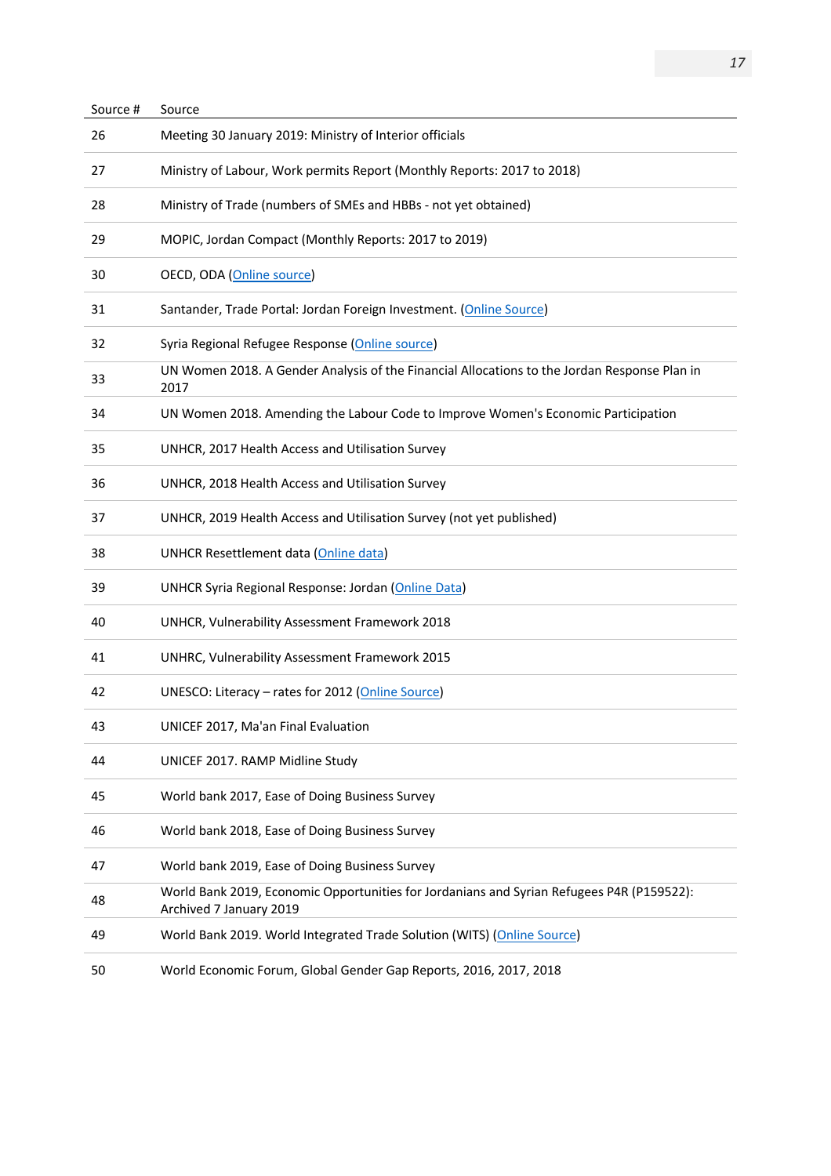| Source # | Source                                                                                                               |
|----------|----------------------------------------------------------------------------------------------------------------------|
| 26       | Meeting 30 January 2019: Ministry of Interior officials                                                              |
| 27       | Ministry of Labour, Work permits Report (Monthly Reports: 2017 to 2018)                                              |
| 28       | Ministry of Trade (numbers of SMEs and HBBs - not yet obtained)                                                      |
| 29       | MOPIC, Jordan Compact (Monthly Reports: 2017 to 2019)                                                                |
| 30       | OECD, ODA (Online source)                                                                                            |
| 31       | Santander, Trade Portal: Jordan Foreign Investment. (Online Source)                                                  |
| 32       | Syria Regional Refugee Response (Online source)                                                                      |
| 33       | UN Women 2018. A Gender Analysis of the Financial Allocations to the Jordan Response Plan in<br>2017                 |
| 34       | UN Women 2018. Amending the Labour Code to Improve Women's Economic Participation                                    |
| 35       | UNHCR, 2017 Health Access and Utilisation Survey                                                                     |
| 36       | UNHCR, 2018 Health Access and Utilisation Survey                                                                     |
| 37       | UNHCR, 2019 Health Access and Utilisation Survey (not yet published)                                                 |
| 38       | UNHCR Resettlement data (Online data)                                                                                |
| 39       | UNHCR Syria Regional Response: Jordan (Online Data)                                                                  |
| 40       | UNHCR, Vulnerability Assessment Framework 2018                                                                       |
| 41       | UNHRC, Vulnerability Assessment Framework 2015                                                                       |
| 42       | UNESCO: Literacy - rates for 2012 (Online Source)                                                                    |
| 43       | UNICEF 2017. Ma'an Final Evaluation                                                                                  |
| 44       | UNICEF 2017. RAMP Midline Study                                                                                      |
| 45       | World bank 2017, Ease of Doing Business Survey                                                                       |
| 46       | World bank 2018, Ease of Doing Business Survey                                                                       |
| 47       | World bank 2019, Ease of Doing Business Survey                                                                       |
| 48       | World Bank 2019, Economic Opportunities for Jordanians and Syrian Refugees P4R (P159522):<br>Archived 7 January 2019 |
| 49       | World Bank 2019. World Integrated Trade Solution (WITS) (Online Source)                                              |
| 50       | World Economic Forum, Global Gender Gap Reports, 2016, 2017, 2018                                                    |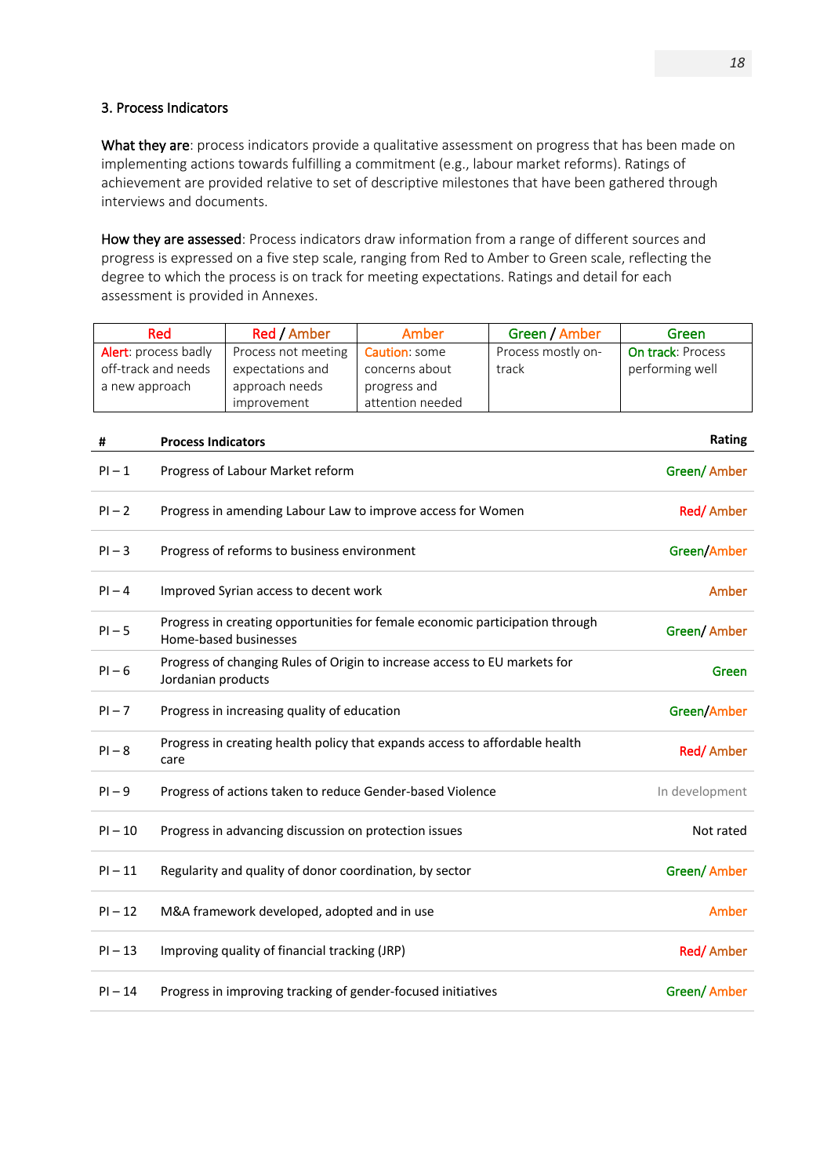### 3. Process Indicators

What they are: process indicators provide a qualitative assessment on progress that has been made on implementing actions towards fulfilling a commitment (e.g., labour market reforms). Ratings of achievement are provided relative to set of descriptive milestones that have been gathered through interviews and documents.

How they are assessed: Process indicators draw information from a range of different sources and progress is expressed on a five step scale, ranging from Red to Amber to Green scale, reflecting the degree to which the process is on track for meeting expectations. Ratings and detail for each assessment is provided in Annexes.

| Red                  | Red / Amber         | Amber                | Green / Amber      | Green                    |
|----------------------|---------------------|----------------------|--------------------|--------------------------|
| Alert: process badly | Process not meeting | <b>Caution:</b> some | Process mostly on- | <b>On track: Process</b> |
| off-track and needs  | expectations and    | concerns about       | track              | performing well          |
| a new approach       | approach needs      | progress and         |                    |                          |
|                      | improvement         | attention needed     |                    |                          |
|                      |                     |                      |                    |                          |

| #         | <b>Process Indicators</b>                                                                             | Rating         |
|-----------|-------------------------------------------------------------------------------------------------------|----------------|
| $PI-1$    | Progress of Labour Market reform                                                                      | Green/ Amber   |
| $PI - 2$  | Progress in amending Labour Law to improve access for Women                                           | Red/Amber      |
| $PI-3$    | Progress of reforms to business environment                                                           | Green/Amber    |
| $PI-4$    | Improved Syrian access to decent work                                                                 | Amber          |
| $PI - 5$  | Progress in creating opportunities for female economic participation through<br>Home-based businesses | Green/ Amber   |
| $PI - 6$  | Progress of changing Rules of Origin to increase access to EU markets for<br>Jordanian products       | Green          |
| $PI - 7$  | Progress in increasing quality of education                                                           | Green/Amber    |
| $PI - 8$  | Progress in creating health policy that expands access to affordable health<br>care                   | Red/Amber      |
| $PI - 9$  | Progress of actions taken to reduce Gender-based Violence                                             | In development |
| $PI - 10$ | Progress in advancing discussion on protection issues                                                 | Not rated      |
| $PI - 11$ | Regularity and quality of donor coordination, by sector                                               | Green/ Amber   |
| $PI - 12$ | M&A framework developed, adopted and in use                                                           | Amber          |
| $PI - 13$ | Improving quality of financial tracking (JRP)                                                         | Red/Amber      |
| $PI - 14$ | Progress in improving tracking of gender-focused initiatives                                          | Green/Amber    |
|           |                                                                                                       |                |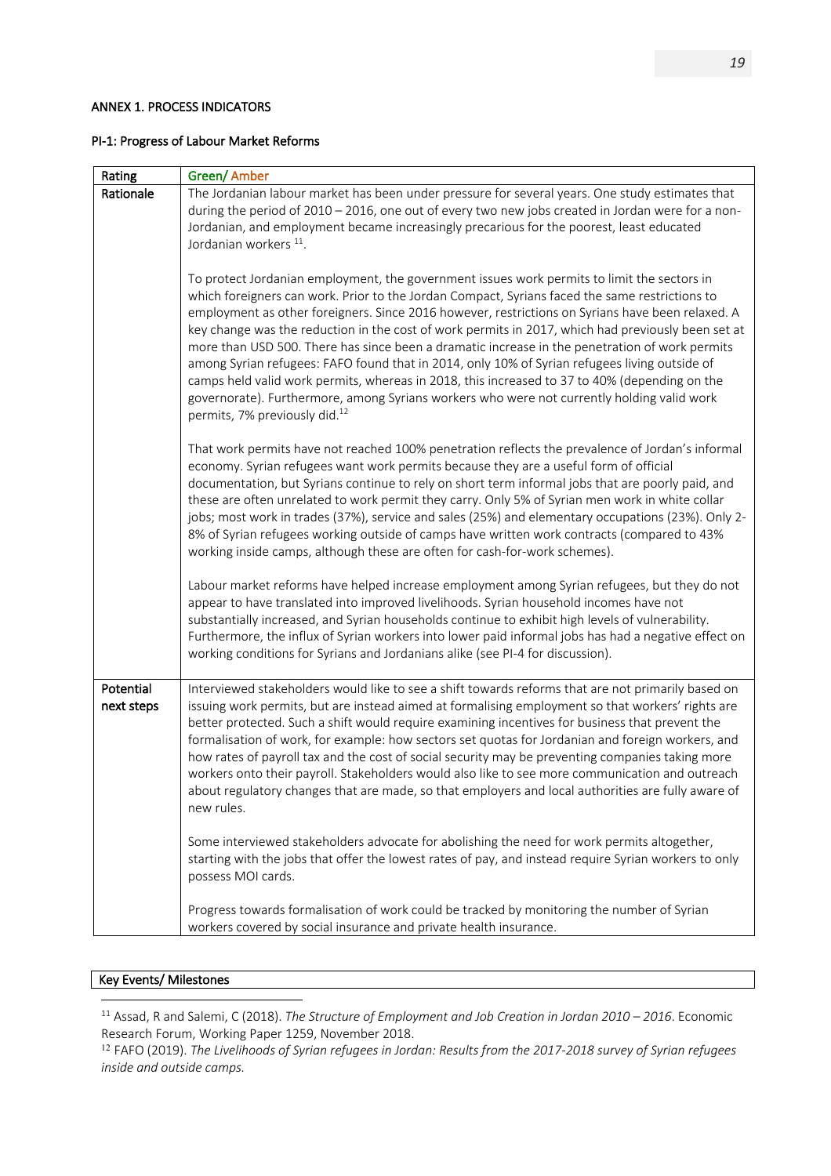### ANNEX 1. PROCESS INDICATORS

#### PI-1: Progress of Labour Market Reforms

| Rating                  | Green/ Amber                                                                                                                                                                                                                                                                                                                                                                                                                                                                                                                                                                                                                                                                                                                                                                                                                                           |
|-------------------------|--------------------------------------------------------------------------------------------------------------------------------------------------------------------------------------------------------------------------------------------------------------------------------------------------------------------------------------------------------------------------------------------------------------------------------------------------------------------------------------------------------------------------------------------------------------------------------------------------------------------------------------------------------------------------------------------------------------------------------------------------------------------------------------------------------------------------------------------------------|
| Rationale               | The Jordanian labour market has been under pressure for several years. One study estimates that                                                                                                                                                                                                                                                                                                                                                                                                                                                                                                                                                                                                                                                                                                                                                        |
|                         | during the period of 2010 - 2016, one out of every two new jobs created in Jordan were for a non-                                                                                                                                                                                                                                                                                                                                                                                                                                                                                                                                                                                                                                                                                                                                                      |
|                         | Jordanian, and employment became increasingly precarious for the poorest, least educated                                                                                                                                                                                                                                                                                                                                                                                                                                                                                                                                                                                                                                                                                                                                                               |
|                         | Jordanian workers <sup>11</sup> .                                                                                                                                                                                                                                                                                                                                                                                                                                                                                                                                                                                                                                                                                                                                                                                                                      |
|                         | To protect Jordanian employment, the government issues work permits to limit the sectors in<br>which foreigners can work. Prior to the Jordan Compact, Syrians faced the same restrictions to<br>employment as other foreigners. Since 2016 however, restrictions on Syrians have been relaxed. A<br>key change was the reduction in the cost of work permits in 2017, which had previously been set at<br>more than USD 500. There has since been a dramatic increase in the penetration of work permits<br>among Syrian refugees: FAFO found that in 2014, only 10% of Syrian refugees living outside of<br>camps held valid work permits, whereas in 2018, this increased to 37 to 40% (depending on the<br>governorate). Furthermore, among Syrians workers who were not currently holding valid work<br>permits, 7% previously did. <sup>12</sup> |
|                         | That work permits have not reached 100% penetration reflects the prevalence of Jordan's informal<br>economy. Syrian refugees want work permits because they are a useful form of official<br>documentation, but Syrians continue to rely on short term informal jobs that are poorly paid, and<br>these are often unrelated to work permit they carry. Only 5% of Syrian men work in white collar<br>jobs; most work in trades (37%), service and sales (25%) and elementary occupations (23%). Only 2-<br>8% of Syrian refugees working outside of camps have written work contracts (compared to 43%<br>working inside camps, although these are often for cash-for-work schemes).                                                                                                                                                                   |
|                         | Labour market reforms have helped increase employment among Syrian refugees, but they do not<br>appear to have translated into improved livelihoods. Syrian household incomes have not<br>substantially increased, and Syrian households continue to exhibit high levels of vulnerability.<br>Furthermore, the influx of Syrian workers into lower paid informal jobs has had a negative effect on<br>working conditions for Syrians and Jordanians alike (see PI-4 for discussion).                                                                                                                                                                                                                                                                                                                                                                   |
| Potential<br>next steps | Interviewed stakeholders would like to see a shift towards reforms that are not primarily based on<br>issuing work permits, but are instead aimed at formalising employment so that workers' rights are<br>better protected. Such a shift would require examining incentives for business that prevent the<br>formalisation of work, for example: how sectors set quotas for Jordanian and foreign workers, and<br>how rates of payroll tax and the cost of social security may be preventing companies taking more<br>workers onto their payroll. Stakeholders would also like to see more communication and outreach<br>about regulatory changes that are made, so that employers and local authorities are fully aware of<br>new rules.                                                                                                             |
|                         | Some interviewed stakeholders advocate for abolishing the need for work permits altogether,<br>starting with the jobs that offer the lowest rates of pay, and instead require Syrian workers to only<br>possess MOI cards.                                                                                                                                                                                                                                                                                                                                                                                                                                                                                                                                                                                                                             |
|                         | Progress towards formalisation of work could be tracked by monitoring the number of Syrian<br>workers covered by social insurance and private health insurance.                                                                                                                                                                                                                                                                                                                                                                                                                                                                                                                                                                                                                                                                                        |

### Key Events/ Milestones

<sup>11</sup> Assad, R and Salemi, C (2018). *The Structure of Employment and Job Creation in Jordan 2010 – 2016*. Economic Research Forum, Working Paper 1259, November 2018.

<sup>12</sup> FAFO (2019). *The Livelihoods of Syrian refugees in Jordan: Results from the 2017-2018 survey of Syrian refugees inside and outside camps.*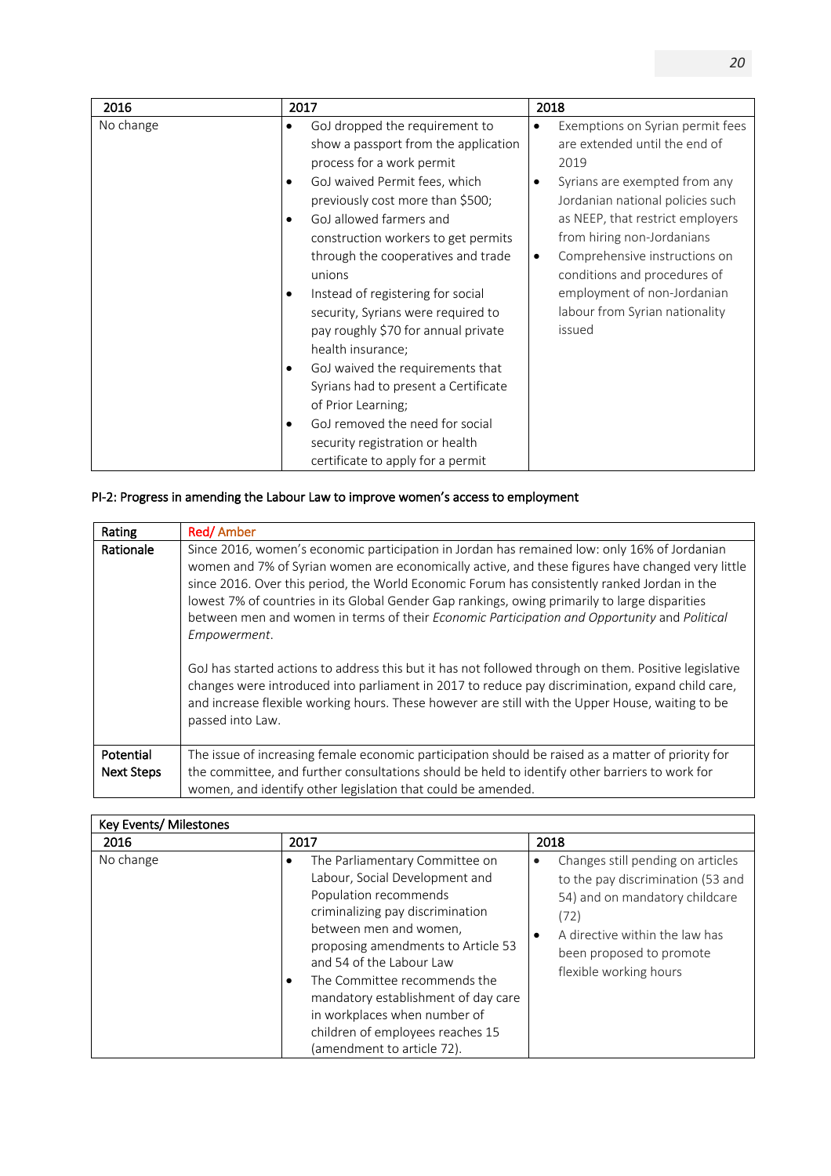| 2016      | 2017                                                                                                                                                                                                                                                                                                                                                                                                                                                                                                                                                                                                                                                                                    | 2018                                                                                                                                                                                                                                                                                                                                                                                        |
|-----------|-----------------------------------------------------------------------------------------------------------------------------------------------------------------------------------------------------------------------------------------------------------------------------------------------------------------------------------------------------------------------------------------------------------------------------------------------------------------------------------------------------------------------------------------------------------------------------------------------------------------------------------------------------------------------------------------|---------------------------------------------------------------------------------------------------------------------------------------------------------------------------------------------------------------------------------------------------------------------------------------------------------------------------------------------------------------------------------------------|
| No change | GoJ dropped the requirement to<br>$\bullet$<br>show a passport from the application<br>process for a work permit<br>GoJ waived Permit fees, which<br>previously cost more than \$500;<br>GoJ allowed farmers and<br>٠<br>construction workers to get permits<br>through the cooperatives and trade<br>unions<br>Instead of registering for social<br>٠<br>security, Syrians were required to<br>pay roughly \$70 for annual private<br>health insurance;<br>GoJ waived the requirements that<br>٠<br>Syrians had to present a Certificate<br>of Prior Learning;<br>GoJ removed the need for social<br>$\bullet$<br>security registration or health<br>certificate to apply for a permit | Exemptions on Syrian permit fees<br>$\bullet$<br>are extended until the end of<br>2019<br>Syrians are exempted from any<br>٠<br>Jordanian national policies such<br>as NEEP, that restrict employers<br>from hiring non-Jordanians<br>Comprehensive instructions on<br>$\bullet$<br>conditions and procedures of<br>employment of non-Jordanian<br>labour from Syrian nationality<br>issued |
|           |                                                                                                                                                                                                                                                                                                                                                                                                                                                                                                                                                                                                                                                                                         |                                                                                                                                                                                                                                                                                                                                                                                             |

# PI-2: Progress in amending the Labour Law to improve women's access to employment

| Rating            | Red/Amber                                                                                                                                                                                                                                                                                                                                                                                                                                                                                                                                                                                                                                                                                                                                                                                                                                               |
|-------------------|---------------------------------------------------------------------------------------------------------------------------------------------------------------------------------------------------------------------------------------------------------------------------------------------------------------------------------------------------------------------------------------------------------------------------------------------------------------------------------------------------------------------------------------------------------------------------------------------------------------------------------------------------------------------------------------------------------------------------------------------------------------------------------------------------------------------------------------------------------|
| Rationale         | Since 2016, women's economic participation in Jordan has remained low: only 16% of Jordanian<br>women and 7% of Syrian women are economically active, and these figures have changed very little<br>since 2016. Over this period, the World Economic Forum has consistently ranked Jordan in the<br>lowest 7% of countries in its Global Gender Gap rankings, owing primarily to large disparities<br>between men and women in terms of their Economic Participation and Opportunity and Political<br>Empowerment.<br>GoJ has started actions to address this but it has not followed through on them. Positive legislative<br>changes were introduced into parliament in 2017 to reduce pay discrimination, expand child care,<br>and increase flexible working hours. These however are still with the Upper House, waiting to be<br>passed into Law. |
| Potential         | The issue of increasing female economic participation should be raised as a matter of priority for                                                                                                                                                                                                                                                                                                                                                                                                                                                                                                                                                                                                                                                                                                                                                      |
| <b>Next Steps</b> | the committee, and further consultations should be held to identify other barriers to work for<br>women, and identify other legislation that could be amended.                                                                                                                                                                                                                                                                                                                                                                                                                                                                                                                                                                                                                                                                                          |

| Key Events/ Milestones |                                                                                                                                                                                                                                                                                                                                                                                                              |                                                                                                                                                                                                                            |
|------------------------|--------------------------------------------------------------------------------------------------------------------------------------------------------------------------------------------------------------------------------------------------------------------------------------------------------------------------------------------------------------------------------------------------------------|----------------------------------------------------------------------------------------------------------------------------------------------------------------------------------------------------------------------------|
| 2016                   | 2017                                                                                                                                                                                                                                                                                                                                                                                                         | 2018                                                                                                                                                                                                                       |
| No change              | The Parliamentary Committee on<br>٠<br>Labour, Social Development and<br>Population recommends<br>criminalizing pay discrimination<br>between men and women,<br>proposing amendments to Article 53<br>and 54 of the Labour Law<br>The Committee recommends the<br>٠<br>mandatory establishment of day care<br>in workplaces when number of<br>children of employees reaches 15<br>(amendment to article 72). | Changes still pending on articles<br>$\bullet$<br>to the pay discrimination (53 and<br>54) and on mandatory childcare<br>(72)<br>A directive within the law has<br>٠<br>been proposed to promote<br>flexible working hours |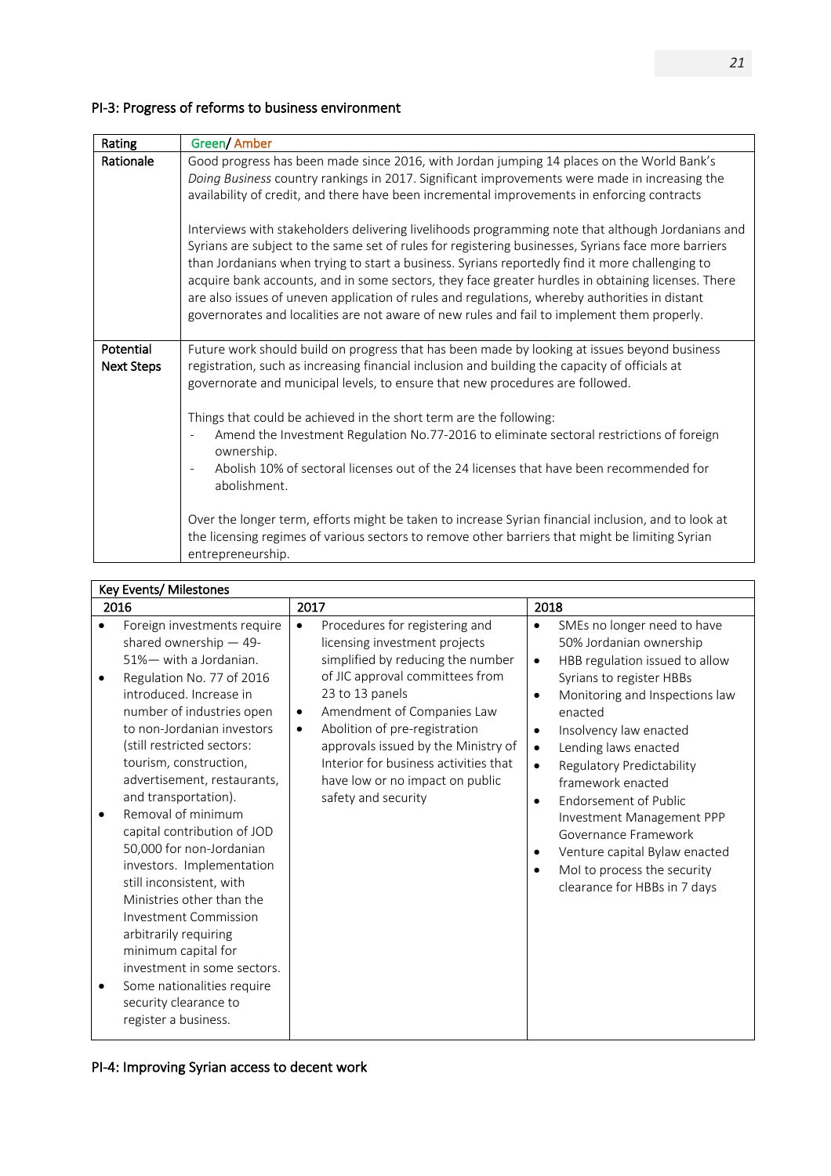# PI-3: Progress of reforms to business environment

| Rating                         | Green/ Amber                                                                                                                                                                                                                                                                                                                                                                                                                                                                                                                                                                                                       |
|--------------------------------|--------------------------------------------------------------------------------------------------------------------------------------------------------------------------------------------------------------------------------------------------------------------------------------------------------------------------------------------------------------------------------------------------------------------------------------------------------------------------------------------------------------------------------------------------------------------------------------------------------------------|
| Rationale                      | Good progress has been made since 2016, with Jordan jumping 14 places on the World Bank's<br>Doing Business country rankings in 2017. Significant improvements were made in increasing the<br>availability of credit, and there have been incremental improvements in enforcing contracts                                                                                                                                                                                                                                                                                                                          |
|                                | Interviews with stakeholders delivering livelihoods programming note that although Jordanians and<br>Syrians are subject to the same set of rules for registering businesses, Syrians face more barriers<br>than Jordanians when trying to start a business. Syrians reportedly find it more challenging to<br>acquire bank accounts, and in some sectors, they face greater hurdles in obtaining licenses. There<br>are also issues of uneven application of rules and regulations, whereby authorities in distant<br>governorates and localities are not aware of new rules and fail to implement them properly. |
| Potential<br><b>Next Steps</b> | Future work should build on progress that has been made by looking at issues beyond business<br>registration, such as increasing financial inclusion and building the capacity of officials at<br>governorate and municipal levels, to ensure that new procedures are followed.<br>Things that could be achieved in the short term are the following:                                                                                                                                                                                                                                                              |
|                                | Amend the Investment Regulation No.77-2016 to eliminate sectoral restrictions of foreign<br>ownership.<br>Abolish 10% of sectoral licenses out of the 24 licenses that have been recommended for<br>abolishment.                                                                                                                                                                                                                                                                                                                                                                                                   |
|                                | Over the longer term, efforts might be taken to increase Syrian financial inclusion, and to look at<br>the licensing regimes of various sectors to remove other barriers that might be limiting Syrian<br>entrepreneurship.                                                                                                                                                                                                                                                                                                                                                                                        |

|   | Key Events/ Milestones                                                                                                                                                                                                                                                                                                                                                                                                                                                                                                                                                                                                                                    |                                                                                                                                                                                                                                                                                                                                                                                                            |                                                                                                                                                                                                                                                                                                                                                                                                                                                                                                                                          |
|---|-----------------------------------------------------------------------------------------------------------------------------------------------------------------------------------------------------------------------------------------------------------------------------------------------------------------------------------------------------------------------------------------------------------------------------------------------------------------------------------------------------------------------------------------------------------------------------------------------------------------------------------------------------------|------------------------------------------------------------------------------------------------------------------------------------------------------------------------------------------------------------------------------------------------------------------------------------------------------------------------------------------------------------------------------------------------------------|------------------------------------------------------------------------------------------------------------------------------------------------------------------------------------------------------------------------------------------------------------------------------------------------------------------------------------------------------------------------------------------------------------------------------------------------------------------------------------------------------------------------------------------|
|   | 2016                                                                                                                                                                                                                                                                                                                                                                                                                                                                                                                                                                                                                                                      | 2017                                                                                                                                                                                                                                                                                                                                                                                                       | 2018                                                                                                                                                                                                                                                                                                                                                                                                                                                                                                                                     |
| ٠ | Foreign investments require<br>shared ownership $-49$ -<br>51%- with a Jordanian.<br>Regulation No. 77 of 2016<br>introduced. Increase in<br>number of industries open<br>to non-Jordanian investors<br>(still restricted sectors:<br>tourism, construction,<br>advertisement, restaurants,<br>and transportation).<br>Removal of minimum<br>capital contribution of JOD<br>50,000 for non-Jordanian<br>investors. Implementation<br>still inconsistent, with<br>Ministries other than the<br>Investment Commission<br>arbitrarily requiring<br>minimum capital for<br>investment in some sectors.<br>Some nationalities require<br>security clearance to | Procedures for registering and<br>$\bullet$<br>licensing investment projects<br>simplified by reducing the number<br>of JIC approval committees from<br>23 to 13 panels<br>Amendment of Companies Law<br>$\bullet$<br>Abolition of pre-registration<br>$\bullet$<br>approvals issued by the Ministry of<br>Interior for business activities that<br>have low or no impact on public<br>safety and security | SMEs no longer need to have<br>٠<br>50% Jordanian ownership<br>HBB regulation issued to allow<br>٠<br>Syrians to register HBBs<br>Monitoring and Inspections law<br>٠<br>enacted<br>Insolvency law enacted<br>$\bullet$<br>Lending laws enacted<br>$\bullet$<br>Regulatory Predictability<br>$\bullet$<br>framework enacted<br>Endorsement of Public<br>$\bullet$<br>Investment Management PPP<br>Governance Framework<br>Venture capital Bylaw enacted<br>٠<br>Mol to process the security<br>$\bullet$<br>clearance for HBBs in 7 days |
|   | register a business.                                                                                                                                                                                                                                                                                                                                                                                                                                                                                                                                                                                                                                      |                                                                                                                                                                                                                                                                                                                                                                                                            |                                                                                                                                                                                                                                                                                                                                                                                                                                                                                                                                          |

# PI-4: Improving Syrian access to decent work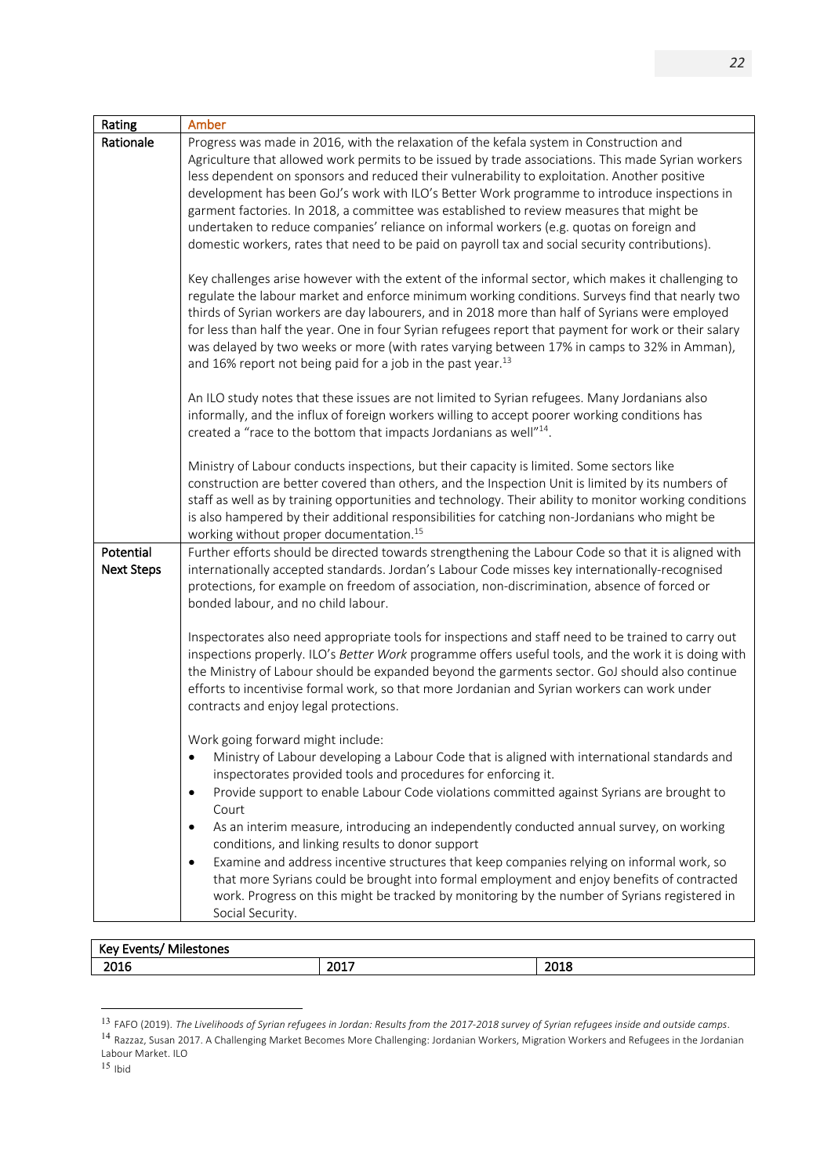| Rating            | Amber                                                                                                                                                                                                       |
|-------------------|-------------------------------------------------------------------------------------------------------------------------------------------------------------------------------------------------------------|
| Rationale         | Progress was made in 2016, with the relaxation of the kefala system in Construction and                                                                                                                     |
|                   | Agriculture that allowed work permits to be issued by trade associations. This made Syrian workers                                                                                                          |
|                   | less dependent on sponsors and reduced their vulnerability to exploitation. Another positive                                                                                                                |
|                   | development has been GoJ's work with ILO's Better Work programme to introduce inspections in                                                                                                                |
|                   | garment factories. In 2018, a committee was established to review measures that might be<br>undertaken to reduce companies' reliance on informal workers (e.g. quotas on foreign and                        |
|                   | domestic workers, rates that need to be paid on payroll tax and social security contributions).                                                                                                             |
|                   |                                                                                                                                                                                                             |
|                   | Key challenges arise however with the extent of the informal sector, which makes it challenging to                                                                                                          |
|                   | regulate the labour market and enforce minimum working conditions. Surveys find that nearly two                                                                                                             |
|                   | thirds of Syrian workers are day labourers, and in 2018 more than half of Syrians were employed                                                                                                             |
|                   | for less than half the year. One in four Syrian refugees report that payment for work or their salary                                                                                                       |
|                   | was delayed by two weeks or more (with rates varying between 17% in camps to 32% in Amman),                                                                                                                 |
|                   | and 16% report not being paid for a job in the past year. $^{13}$                                                                                                                                           |
|                   | An ILO study notes that these issues are not limited to Syrian refugees. Many Jordanians also                                                                                                               |
|                   | informally, and the influx of foreign workers willing to accept poorer working conditions has                                                                                                               |
|                   | created a "race to the bottom that impacts Jordanians as well" <sup>14</sup> .                                                                                                                              |
|                   |                                                                                                                                                                                                             |
|                   | Ministry of Labour conducts inspections, but their capacity is limited. Some sectors like                                                                                                                   |
|                   | construction are better covered than others, and the Inspection Unit is limited by its numbers of<br>staff as well as by training opportunities and technology. Their ability to monitor working conditions |
|                   | is also hampered by their additional responsibilities for catching non-Jordanians who might be                                                                                                              |
|                   | working without proper documentation. <sup>15</sup>                                                                                                                                                         |
| Potential         | Further efforts should be directed towards strengthening the Labour Code so that it is aligned with                                                                                                         |
| <b>Next Steps</b> | internationally accepted standards. Jordan's Labour Code misses key internationally-recognised                                                                                                              |
|                   | protections, for example on freedom of association, non-discrimination, absence of forced or                                                                                                                |
|                   | bonded labour, and no child labour.                                                                                                                                                                         |
|                   | Inspectorates also need appropriate tools for inspections and staff need to be trained to carry out                                                                                                         |
|                   | inspections properly. ILO's Better Work programme offers useful tools, and the work it is doing with                                                                                                        |
|                   | the Ministry of Labour should be expanded beyond the garments sector. GoJ should also continue                                                                                                              |
|                   | efforts to incentivise formal work, so that more Jordanian and Syrian workers can work under                                                                                                                |
|                   | contracts and enjoy legal protections.                                                                                                                                                                      |
|                   | Work going forward might include:                                                                                                                                                                           |
|                   | Ministry of Labour developing a Labour Code that is aligned with international standards and                                                                                                                |
|                   | inspectorates provided tools and procedures for enforcing it.                                                                                                                                               |
|                   | Provide support to enable Labour Code violations committed against Syrians are brought to<br>$\bullet$                                                                                                      |
|                   | Court                                                                                                                                                                                                       |
|                   | As an interim measure, introducing an independently conducted annual survey, on working<br>٠                                                                                                                |
|                   | conditions, and linking results to donor support                                                                                                                                                            |
|                   | Examine and address incentive structures that keep companies relying on informal work, so<br>$\bullet$                                                                                                      |
|                   | that more Syrians could be brought into formal employment and enjoy benefits of contracted                                                                                                                  |
|                   | work. Progress on this might be tracked by monitoring by the number of Syrians registered in                                                                                                                |
|                   | Social Security.                                                                                                                                                                                            |

| $\sim$ $\sim$ $\sim$<br>Key<br>эне.<br>and the control of the control of |              |             |
|--------------------------------------------------------------------------|--------------|-------------|
| 2016                                                                     | ່າດ1"<br>--- | 301C<br>81ر |

 <sup>13</sup> FAFO (2019). *The Livelihoods of Syrian refugees in Jordan: Results from the 2017-2018 survey of Syrian refugees inside and outside camps*.

<sup>14</sup> Razzaz, Susan 2017. A Challenging Market Becomes More Challenging: Jordanian Workers, Migration Workers and Refugees in the Jordanian Labour Market. ILO

 $15$  Ibid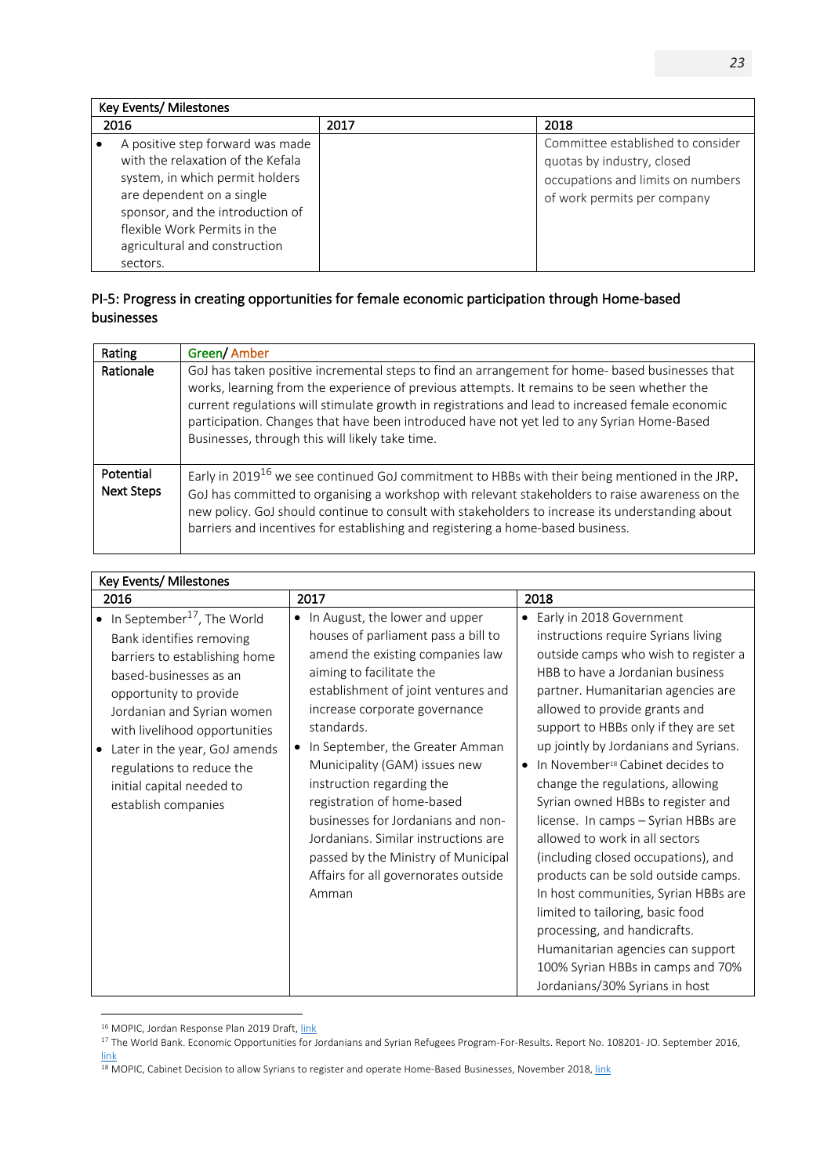| Key Events/ Milestones                                                                                                                                                                                                                                 |      |                                                                                                                                     |
|--------------------------------------------------------------------------------------------------------------------------------------------------------------------------------------------------------------------------------------------------------|------|-------------------------------------------------------------------------------------------------------------------------------------|
| 2016                                                                                                                                                                                                                                                   | 2017 | 2018                                                                                                                                |
| A positive step forward was made<br>with the relaxation of the Kefala<br>system, in which permit holders<br>are dependent on a single<br>sponsor, and the introduction of<br>flexible Work Permits in the<br>agricultural and construction<br>sectors. |      | Committee established to consider<br>quotas by industry, closed<br>occupations and limits on numbers<br>of work permits per company |

## PI-5: Progress in creating opportunities for female economic participation through Home-based businesses

| Rating                         | Green/Amber                                                                                                                                                                                                                                                                                                                                                                                                                                         |
|--------------------------------|-----------------------------------------------------------------------------------------------------------------------------------------------------------------------------------------------------------------------------------------------------------------------------------------------------------------------------------------------------------------------------------------------------------------------------------------------------|
| Rationale                      | GoJ has taken positive incremental steps to find an arrangement for home- based businesses that<br>works, learning from the experience of previous attempts. It remains to be seen whether the<br>current regulations will stimulate growth in registrations and lead to increased female economic<br>participation. Changes that have been introduced have not yet led to any Syrian Home-Based<br>Businesses, through this will likely take time. |
| Potential<br><b>Next Steps</b> | Early in 2019 <sup>16</sup> we see continued GoJ commitment to HBBs with their being mentioned in the JRP.<br>GoJ has committed to organising a workshop with relevant stakeholders to raise awareness on the<br>new policy. GoJ should continue to consult with stakeholders to increase its understanding about<br>barriers and incentives for establishing and registering a home-based business.                                                |

| Key Events/ Milestones                                                                                                                                                                                                                                                                                                                   |                                                                                                                                                                                                                                                                                                                                                                                                                                                                                                                                               |                                                                                                                                                                                                                                                                                                                                                                                                                                                                                                                                                                                                                                                                                                                                                                                                               |
|------------------------------------------------------------------------------------------------------------------------------------------------------------------------------------------------------------------------------------------------------------------------------------------------------------------------------------------|-----------------------------------------------------------------------------------------------------------------------------------------------------------------------------------------------------------------------------------------------------------------------------------------------------------------------------------------------------------------------------------------------------------------------------------------------------------------------------------------------------------------------------------------------|---------------------------------------------------------------------------------------------------------------------------------------------------------------------------------------------------------------------------------------------------------------------------------------------------------------------------------------------------------------------------------------------------------------------------------------------------------------------------------------------------------------------------------------------------------------------------------------------------------------------------------------------------------------------------------------------------------------------------------------------------------------------------------------------------------------|
| 2016                                                                                                                                                                                                                                                                                                                                     | 2017                                                                                                                                                                                                                                                                                                                                                                                                                                                                                                                                          | 2018                                                                                                                                                                                                                                                                                                                                                                                                                                                                                                                                                                                                                                                                                                                                                                                                          |
| In September <sup>17</sup> , The World<br>Bank identifies removing<br>barriers to establishing home<br>based-businesses as an<br>opportunity to provide<br>Jordanian and Syrian women<br>with livelihood opportunities<br>Later in the year, GoJ amends<br>regulations to reduce the<br>initial capital needed to<br>establish companies | In August, the lower and upper<br>$\bullet$<br>houses of parliament pass a bill to<br>amend the existing companies law<br>aiming to facilitate the<br>establishment of joint ventures and<br>increase corporate governance<br>standards.<br>In September, the Greater Amman<br>Municipality (GAM) issues new<br>instruction regarding the<br>registration of home-based<br>businesses for Jordanians and non-<br>Jordanians. Similar instructions are<br>passed by the Ministry of Municipal<br>Affairs for all governorates outside<br>Amman | • Early in 2018 Government<br>instructions require Syrians living<br>outside camps who wish to register a<br>HBB to have a Jordanian business<br>partner. Humanitarian agencies are<br>allowed to provide grants and<br>support to HBBs only if they are set<br>up jointly by Jordanians and Syrians.<br>In November <sup>18</sup> Cabinet decides to<br>change the regulations, allowing<br>Syrian owned HBBs to register and<br>license. In camps - Syrian HBBs are<br>allowed to work in all sectors<br>(including closed occupations), and<br>products can be sold outside camps.<br>In host communities, Syrian HBBs are<br>limited to tailoring, basic food<br>processing, and handicrafts.<br>Humanitarian agencies can support<br>100% Syrian HBBs in camps and 70%<br>Jordanians/30% Syrians in host |

 $\overline{a}$ <sup>16</sup> MOPIC, Jordan Response Plan 2019 Draft, link

<sup>&</sup>lt;sup>17</sup> The World Bank. Economic Opportunities for Jordanians and Syrian Refugees Program-For-Results. Report No. 108201- JO. September 2016, link

<sup>&</sup>lt;sup>18</sup> MOPIC, Cabinet Decision to allow Syrians to register and operate Home-Based Businesses, November 2018, link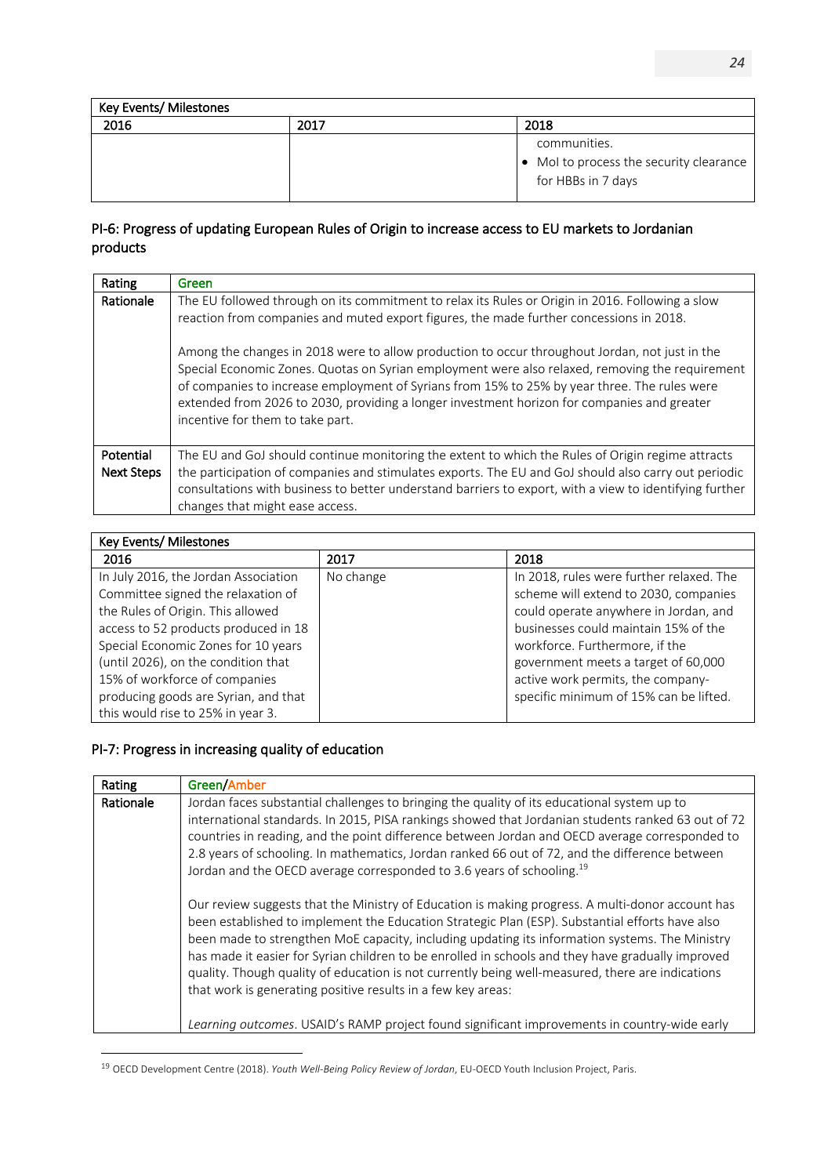| Key Events/ Milestones |      |                                                                               |
|------------------------|------|-------------------------------------------------------------------------------|
| 2016                   | 2017 | 2018                                                                          |
|                        |      | communities.<br>• Mol to process the security clearance<br>for HBBs in 7 days |

### PI-6: Progress of updating European Rules of Origin to increase access to EU markets to Jordanian products

| Rating                         | Green                                                                                                                                                                                                                                                                                                                                                                                                                                                                                                                                                                                                                               |
|--------------------------------|-------------------------------------------------------------------------------------------------------------------------------------------------------------------------------------------------------------------------------------------------------------------------------------------------------------------------------------------------------------------------------------------------------------------------------------------------------------------------------------------------------------------------------------------------------------------------------------------------------------------------------------|
| Rationale                      | The EU followed through on its commitment to relax its Rules or Origin in 2016. Following a slow<br>reaction from companies and muted export figures, the made further concessions in 2018.<br>Among the changes in 2018 were to allow production to occur throughout Jordan, not just in the<br>Special Economic Zones. Quotas on Syrian employment were also relaxed, removing the requirement<br>of companies to increase employment of Syrians from 15% to 25% by year three. The rules were<br>extended from 2026 to 2030, providing a longer investment horizon for companies and greater<br>incentive for them to take part. |
| Potential<br><b>Next Steps</b> | The EU and GoJ should continue monitoring the extent to which the Rules of Origin regime attracts<br>the participation of companies and stimulates exports. The EU and GoJ should also carry out periodic<br>consultations with business to better understand barriers to export, with a view to identifying further<br>changes that might ease access.                                                                                                                                                                                                                                                                             |

| Key Events/ Milestones                                                                                                                                                                                                                                                                                                                              |           |                                                                                                                                                                                                                                                                                                                            |
|-----------------------------------------------------------------------------------------------------------------------------------------------------------------------------------------------------------------------------------------------------------------------------------------------------------------------------------------------------|-----------|----------------------------------------------------------------------------------------------------------------------------------------------------------------------------------------------------------------------------------------------------------------------------------------------------------------------------|
| 2016                                                                                                                                                                                                                                                                                                                                                | 2017      | 2018                                                                                                                                                                                                                                                                                                                       |
| In July 2016, the Jordan Association<br>Committee signed the relaxation of<br>the Rules of Origin. This allowed<br>access to 52 products produced in 18<br>Special Economic Zones for 10 years<br>(until 2026), on the condition that<br>15% of workforce of companies<br>producing goods are Syrian, and that<br>this would rise to 25% in year 3. | No change | In 2018, rules were further relaxed. The<br>scheme will extend to 2030, companies<br>could operate anywhere in Jordan, and<br>businesses could maintain 15% of the<br>workforce. Furthermore, if the<br>government meets a target of 60,000<br>active work permits, the company-<br>specific minimum of 15% can be lifted. |

# PI-7: Progress in increasing quality of education

| Rating    | Green/Amber                                                                                                                                                                                                                                                                                                                                                                                                                                                                                                                                                                                                                                                                    |
|-----------|--------------------------------------------------------------------------------------------------------------------------------------------------------------------------------------------------------------------------------------------------------------------------------------------------------------------------------------------------------------------------------------------------------------------------------------------------------------------------------------------------------------------------------------------------------------------------------------------------------------------------------------------------------------------------------|
| Rationale | Jordan faces substantial challenges to bringing the quality of its educational system up to<br>international standards. In 2015, PISA rankings showed that Jordanian students ranked 63 out of 72<br>countries in reading, and the point difference between Jordan and OECD average corresponded to<br>2.8 years of schooling. In mathematics, Jordan ranked 66 out of 72, and the difference between<br>Jordan and the OECD average corresponded to 3.6 years of schooling. <sup>19</sup>                                                                                                                                                                                     |
|           | Our review suggests that the Ministry of Education is making progress. A multi-donor account has<br>been established to implement the Education Strategic Plan (ESP). Substantial efforts have also<br>been made to strengthen MoE capacity, including updating its information systems. The Ministry<br>has made it easier for Syrian children to be enrolled in schools and they have gradually improved<br>quality. Though quality of education is not currently being well-measured, there are indications<br>that work is generating positive results in a few key areas:<br>Learning outcomes. USAID's RAMP project found significant improvements in country-wide early |

<sup>19</sup> OECD Development Centre (2018). *Youth Well-Being Policy Review of Jordan*, EU-OECD Youth Inclusion Project, Paris.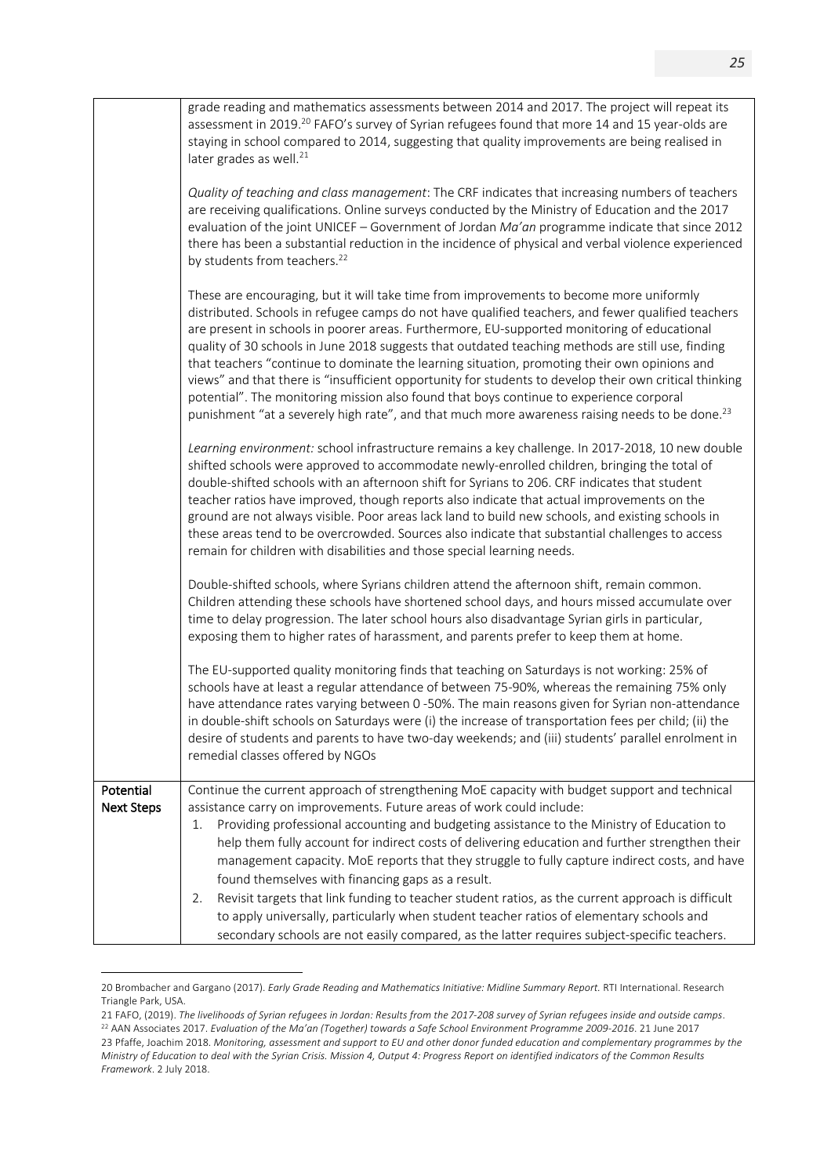|                                | grade reading and mathematics assessments between 2014 and 2017. The project will repeat its<br>assessment in 2019. <sup>20</sup> FAFO's survey of Syrian refugees found that more 14 and 15 year-olds are<br>staying in school compared to 2014, suggesting that quality improvements are being realised in<br>later grades as well. <sup>21</sup>                                                                                                                                                                                                                                                                                                                                                                                                                                                                                        |
|--------------------------------|--------------------------------------------------------------------------------------------------------------------------------------------------------------------------------------------------------------------------------------------------------------------------------------------------------------------------------------------------------------------------------------------------------------------------------------------------------------------------------------------------------------------------------------------------------------------------------------------------------------------------------------------------------------------------------------------------------------------------------------------------------------------------------------------------------------------------------------------|
|                                | Quality of teaching and class management: The CRF indicates that increasing numbers of teachers<br>are receiving qualifications. Online surveys conducted by the Ministry of Education and the 2017<br>evaluation of the joint UNICEF - Government of Jordan Ma'an programme indicate that since 2012<br>there has been a substantial reduction in the incidence of physical and verbal violence experienced<br>by students from teachers. <sup>22</sup>                                                                                                                                                                                                                                                                                                                                                                                   |
|                                | These are encouraging, but it will take time from improvements to become more uniformly<br>distributed. Schools in refugee camps do not have qualified teachers, and fewer qualified teachers<br>are present in schools in poorer areas. Furthermore, EU-supported monitoring of educational<br>quality of 30 schools in June 2018 suggests that outdated teaching methods are still use, finding<br>that teachers "continue to dominate the learning situation, promoting their own opinions and<br>views" and that there is "insufficient opportunity for students to develop their own critical thinking<br>potential". The monitoring mission also found that boys continue to experience corporal<br>punishment "at a severely high rate", and that much more awareness raising needs to be done. <sup>23</sup>                       |
|                                | Learning environment: school infrastructure remains a key challenge. In 2017-2018, 10 new double<br>shifted schools were approved to accommodate newly-enrolled children, bringing the total of<br>double-shifted schools with an afternoon shift for Syrians to 206. CRF indicates that student<br>teacher ratios have improved, though reports also indicate that actual improvements on the<br>ground are not always visible. Poor areas lack land to build new schools, and existing schools in<br>these areas tend to be overcrowded. Sources also indicate that substantial challenges to access<br>remain for children with disabilities and those special learning needs.                                                                                                                                                          |
|                                | Double-shifted schools, where Syrians children attend the afternoon shift, remain common.<br>Children attending these schools have shortened school days, and hours missed accumulate over<br>time to delay progression. The later school hours also disadvantage Syrian girls in particular,<br>exposing them to higher rates of harassment, and parents prefer to keep them at home.                                                                                                                                                                                                                                                                                                                                                                                                                                                     |
|                                | The EU-supported quality monitoring finds that teaching on Saturdays is not working: 25% of<br>schools have at least a regular attendance of between 75-90%, whereas the remaining 75% only<br>have attendance rates varying between 0-50%. The main reasons given for Syrian non-attendance<br>in double-shift schools on Saturdays were (i) the increase of transportation fees per child; (ii) the<br>desire of students and parents to have two-day weekends; and (iii) students' parallel enrolment in<br>remedial classes offered by NGOs                                                                                                                                                                                                                                                                                            |
| Potential<br><b>Next Steps</b> | Continue the current approach of strengthening MoE capacity with budget support and technical<br>assistance carry on improvements. Future areas of work could include:<br>Providing professional accounting and budgeting assistance to the Ministry of Education to<br>1.<br>help them fully account for indirect costs of delivering education and further strengthen their<br>management capacity. MoE reports that they struggle to fully capture indirect costs, and have<br>found themselves with financing gaps as a result.<br>Revisit targets that link funding to teacher student ratios, as the current approach is difficult<br>2.<br>to apply universally, particularly when student teacher ratios of elementary schools and<br>secondary schools are not easily compared, as the latter requires subject-specific teachers. |

<sup>20</sup> Brombacher and Gargano (2017). *Early Grade Reading and Mathematics Initiative: Midline Summary Report.* RTI International. Research Triangle Park, USA.

<sup>21</sup> FAFO, (2019). *The livelihoods of Syrian refugees in Jordan: Results from the 2017-208 survey of Syrian refugees inside and outside camps*. <sup>22</sup> AAN Associates 2017. *Evaluation of the Ma'an (Together) towards a Safe School Environment Programme 2009-2016*. 21 June 2017 23 Pfaffe, Joachim 2018. *Monitoring, assessment and support to EU and other donor funded education and complementary programmes by the Ministry of Education to deal with the Syrian Crisis. Mission 4, Output 4: Progress Report on identified indicators of the Common Results Framework*. 2 July 2018.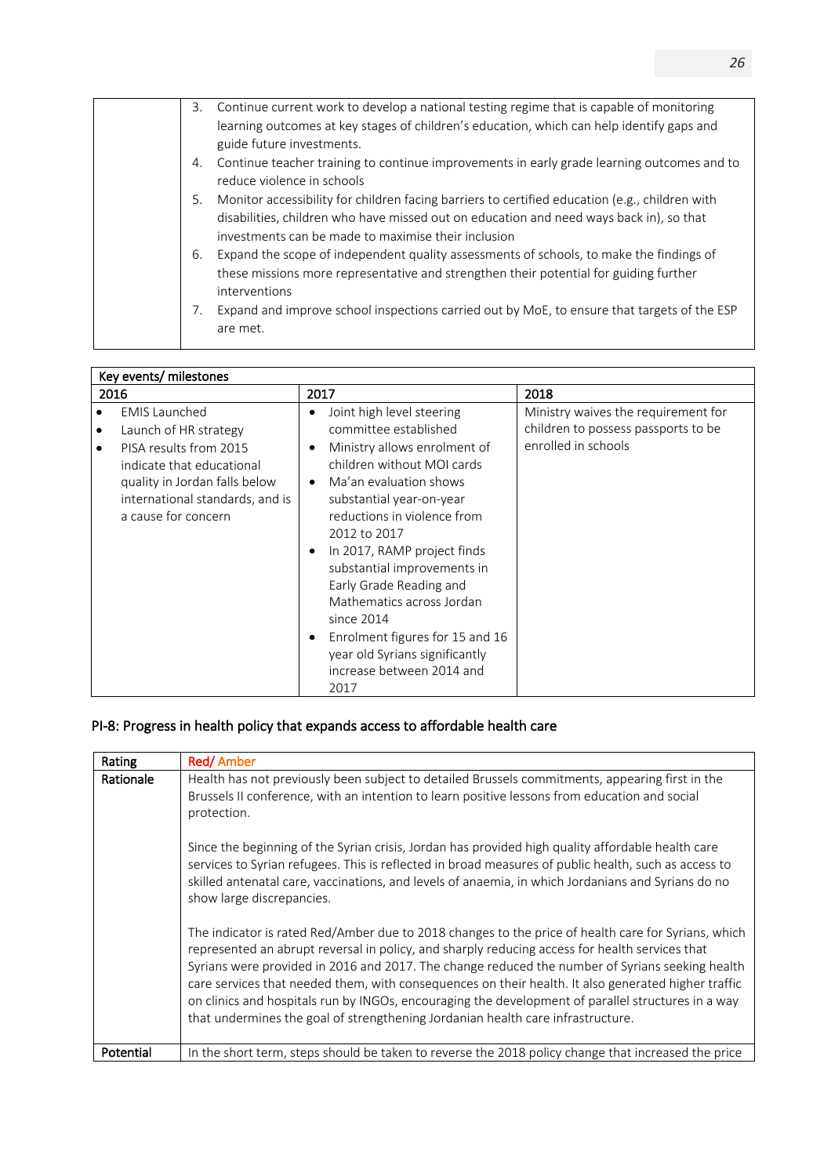| Continue current work to develop a national testing regime that is capable of monitoring<br>3.<br>learning outcomes at key stages of children's education, which can help identify gaps and<br>guide future investments.                               |
|--------------------------------------------------------------------------------------------------------------------------------------------------------------------------------------------------------------------------------------------------------|
| Continue teacher training to continue improvements in early grade learning outcomes and to<br>4.<br>reduce violence in schools                                                                                                                         |
| Monitor accessibility for children facing barriers to certified education (e.g., children with<br>5.<br>disabilities, children who have missed out on education and need ways back in), so that<br>investments can be made to maximise their inclusion |
| Expand the scope of independent quality assessments of schools, to make the findings of<br>6.<br>these missions more representative and strengthen their potential for guiding further<br>interventions                                                |
| Expand and improve school inspections carried out by MoE, to ensure that targets of the ESP<br>7.<br>are met.                                                                                                                                          |

|                | Key events/ milestones                                                                                                                                                                          |                                                                                                                                                                                                                                                                                                                                                                                                                                                                                            |                                                                                                   |
|----------------|-------------------------------------------------------------------------------------------------------------------------------------------------------------------------------------------------|--------------------------------------------------------------------------------------------------------------------------------------------------------------------------------------------------------------------------------------------------------------------------------------------------------------------------------------------------------------------------------------------------------------------------------------------------------------------------------------------|---------------------------------------------------------------------------------------------------|
| 2016           |                                                                                                                                                                                                 | 2017                                                                                                                                                                                                                                                                                                                                                                                                                                                                                       | 2018                                                                                              |
| ٠<br>$\bullet$ | <b>EMIS Launched</b><br>Launch of HR strategy<br>PISA results from 2015<br>indicate that educational<br>quality in Jordan falls below<br>international standards, and is<br>a cause for concern | Joint high level steering<br>٠<br>committee established<br>Ministry allows enrolment of<br>٠<br>children without MOI cards<br>Ma'an evaluation shows<br>$\bullet$<br>substantial year-on-year<br>reductions in violence from<br>2012 to 2017<br>In 2017, RAMP project finds<br>substantial improvements in<br>Early Grade Reading and<br>Mathematics across Jordan<br>since 2014<br>Enrolment figures for 15 and 16<br>year old Syrians significantly<br>increase between 2014 and<br>2017 | Ministry waives the requirement for<br>children to possess passports to be<br>enrolled in schools |

# PI-8: Progress in health policy that expands access to affordable health care

| Rating    | <b>Red/Amber</b>                                                                                                                                                                                                                                                                                                                                                                                                                                                                                                                                                                                         |
|-----------|----------------------------------------------------------------------------------------------------------------------------------------------------------------------------------------------------------------------------------------------------------------------------------------------------------------------------------------------------------------------------------------------------------------------------------------------------------------------------------------------------------------------------------------------------------------------------------------------------------|
| Rationale | Health has not previously been subject to detailed Brussels commitments, appearing first in the<br>Brussels II conference, with an intention to learn positive lessons from education and social<br>protection.<br>Since the beginning of the Syrian crisis, Jordan has provided high quality affordable health care<br>services to Syrian refugees. This is reflected in broad measures of public health, such as access to<br>skilled antenatal care, vaccinations, and levels of anaemia, in which Jordanians and Syrians do no<br>show large discrepancies.                                          |
|           | The indicator is rated Red/Amber due to 2018 changes to the price of health care for Syrians, which<br>represented an abrupt reversal in policy, and sharply reducing access for health services that<br>Syrians were provided in 2016 and 2017. The change reduced the number of Syrians seeking health<br>care services that needed them, with consequences on their health. It also generated higher traffic<br>on clinics and hospitals run by INGOs, encouraging the development of parallel structures in a way<br>that undermines the goal of strengthening Jordanian health care infrastructure. |
| Potential | In the short term, steps should be taken to reverse the 2018 policy change that increased the price                                                                                                                                                                                                                                                                                                                                                                                                                                                                                                      |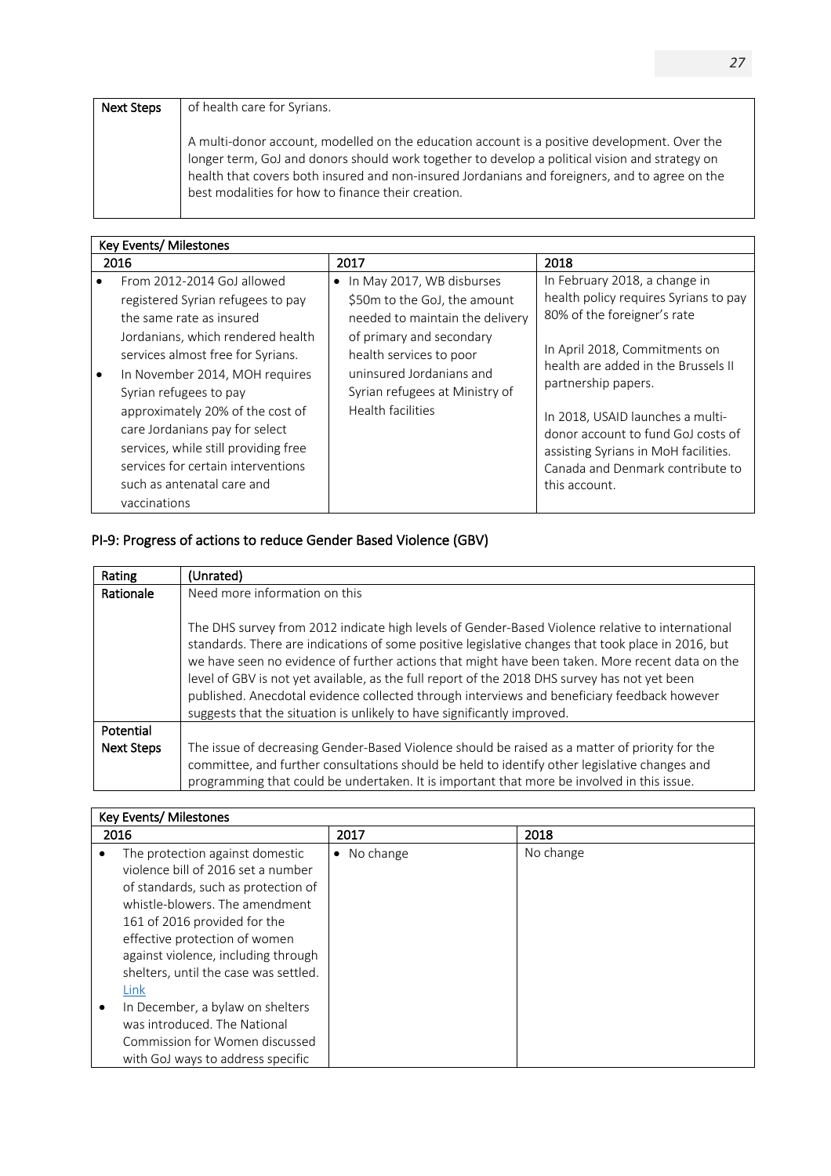### Next Steps | of health care for Syrians.

A multi-donor account, modelled on the education account is a positive development. Over the longer term, GoJ and donors should work together to develop a political vision and strategy on health that covers both insured and non-insured Jordanians and foreigners, and to agree on the best modalities for how to finance their creation.

|      | Key Events/ Milestones                                                                                                                                                                                                                                                                                                                                                                                                              |                                                                                                                                                                                                                                             |                                                                                                                                                                                                                                                                                                                                                                             |  |  |
|------|-------------------------------------------------------------------------------------------------------------------------------------------------------------------------------------------------------------------------------------------------------------------------------------------------------------------------------------------------------------------------------------------------------------------------------------|---------------------------------------------------------------------------------------------------------------------------------------------------------------------------------------------------------------------------------------------|-----------------------------------------------------------------------------------------------------------------------------------------------------------------------------------------------------------------------------------------------------------------------------------------------------------------------------------------------------------------------------|--|--|
| 2016 |                                                                                                                                                                                                                                                                                                                                                                                                                                     | 2017                                                                                                                                                                                                                                        | 2018                                                                                                                                                                                                                                                                                                                                                                        |  |  |
|      | From 2012-2014 GoJ allowed<br>registered Syrian refugees to pay<br>the same rate as insured<br>Jordanians, which rendered health<br>services almost free for Syrians.<br>In November 2014, MOH requires<br>Syrian refugees to pay<br>approximately 20% of the cost of<br>care Jordanians pay for select<br>services, while still providing free<br>services for certain interventions<br>such as antenatal care and<br>vaccinations | In May 2017, WB disburses<br>٠<br>\$50m to the GoJ, the amount<br>needed to maintain the delivery<br>of primary and secondary<br>health services to poor<br>uninsured Jordanians and<br>Syrian refugees at Ministry of<br>Health facilities | In February 2018, a change in<br>health policy requires Syrians to pay<br>80% of the foreigner's rate<br>In April 2018, Commitments on<br>health are added in the Brussels II<br>partnership papers.<br>In 2018, USAID launches a multi-<br>donor account to fund GoJ costs of<br>assisting Syrians in MoH facilities.<br>Canada and Denmark contribute to<br>this account. |  |  |

# PI-9: Progress of actions to reduce Gender Based Violence (GBV)

| Rating            | (Unrated)                                                                                                                                                                                                                                                                                                                                                                                                                                                                                                                                                                            |  |
|-------------------|--------------------------------------------------------------------------------------------------------------------------------------------------------------------------------------------------------------------------------------------------------------------------------------------------------------------------------------------------------------------------------------------------------------------------------------------------------------------------------------------------------------------------------------------------------------------------------------|--|
| Rationale         | Need more information on this                                                                                                                                                                                                                                                                                                                                                                                                                                                                                                                                                        |  |
|                   |                                                                                                                                                                                                                                                                                                                                                                                                                                                                                                                                                                                      |  |
|                   | The DHS survey from 2012 indicate high levels of Gender-Based Violence relative to international<br>standards. There are indications of some positive legislative changes that took place in 2016, but<br>we have seen no evidence of further actions that might have been taken. More recent data on the<br>level of GBV is not yet available, as the full report of the 2018 DHS survey has not yet been<br>published. Anecdotal evidence collected through interviews and beneficiary feedback however<br>suggests that the situation is unlikely to have significantly improved. |  |
| <b>Potential</b>  |                                                                                                                                                                                                                                                                                                                                                                                                                                                                                                                                                                                      |  |
|                   |                                                                                                                                                                                                                                                                                                                                                                                                                                                                                                                                                                                      |  |
| <b>Next Steps</b> | The issue of decreasing Gender-Based Violence should be raised as a matter of priority for the<br>committee, and further consultations should be held to identify other legislative changes and<br>programming that could be undertaken. It is important that more be involved in this issue.                                                                                                                                                                                                                                                                                        |  |

### Key Events/ Milestones

| 2016                                                                                                                                                                                                                                                   | 2017           | 2018      |
|--------------------------------------------------------------------------------------------------------------------------------------------------------------------------------------------------------------------------------------------------------|----------------|-----------|
| The protection against domestic<br>violence bill of 2016 set a number<br>of standards, such as protection of<br>whistle-blowers. The amendment<br>161 of 2016 provided for the<br>effective protection of women<br>against violence, including through | No change<br>٠ | No change |
| shelters, until the case was settled.<br>Link                                                                                                                                                                                                          |                |           |
| In December, a bylaw on shelters<br>was introduced. The National<br>Commission for Women discussed<br>with GoJ ways to address specific                                                                                                                |                |           |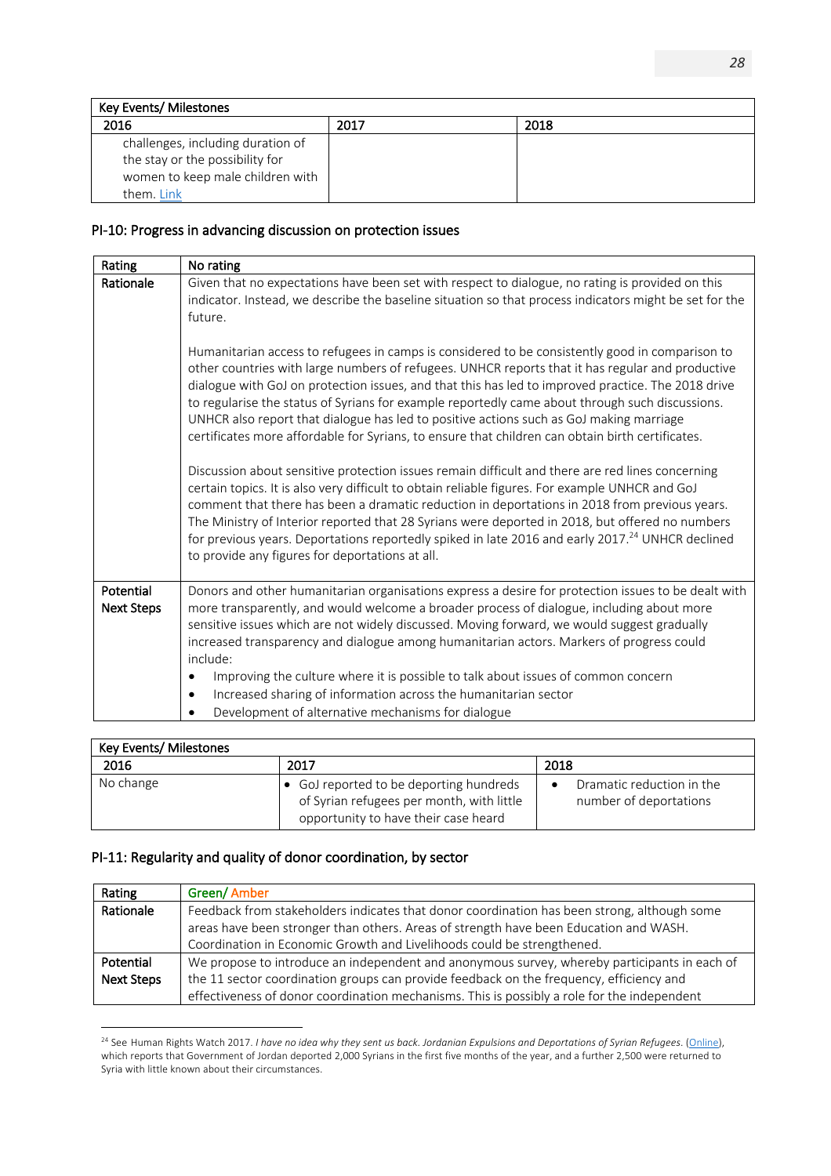| Key Events/ Milestones                                                                                                 |      |      |
|------------------------------------------------------------------------------------------------------------------------|------|------|
| 2016                                                                                                                   | 2017 | 2018 |
| challenges, including duration of<br>the stay or the possibility for<br>women to keep male children with<br>them. Link |      |      |

### PI-10: Progress in advancing discussion on protection issues

| Rating                         | No rating                                                                                                                                                                                                                                                                                                                                                                                                                                                                                                                                                                                                                                                                                                                                                                                                                                                                                                                                                                                                                                                                                                                                                                                                                                                                                                                                                                                                          |
|--------------------------------|--------------------------------------------------------------------------------------------------------------------------------------------------------------------------------------------------------------------------------------------------------------------------------------------------------------------------------------------------------------------------------------------------------------------------------------------------------------------------------------------------------------------------------------------------------------------------------------------------------------------------------------------------------------------------------------------------------------------------------------------------------------------------------------------------------------------------------------------------------------------------------------------------------------------------------------------------------------------------------------------------------------------------------------------------------------------------------------------------------------------------------------------------------------------------------------------------------------------------------------------------------------------------------------------------------------------------------------------------------------------------------------------------------------------|
| Rationale                      | Given that no expectations have been set with respect to dialogue, no rating is provided on this<br>indicator. Instead, we describe the baseline situation so that process indicators might be set for the<br>future.<br>Humanitarian access to refugees in camps is considered to be consistently good in comparison to<br>other countries with large numbers of refugees. UNHCR reports that it has regular and productive<br>dialogue with GoJ on protection issues, and that this has led to improved practice. The 2018 drive<br>to regularise the status of Syrians for example reportedly came about through such discussions.<br>UNHCR also report that dialogue has led to positive actions such as GoJ making marriage<br>certificates more affordable for Syrians, to ensure that children can obtain birth certificates.<br>Discussion about sensitive protection issues remain difficult and there are red lines concerning<br>certain topics. It is also very difficult to obtain reliable figures. For example UNHCR and GoJ<br>comment that there has been a dramatic reduction in deportations in 2018 from previous years.<br>The Ministry of Interior reported that 28 Syrians were deported in 2018, but offered no numbers<br>for previous years. Deportations reportedly spiked in late 2016 and early 2017. <sup>24</sup> UNHCR declined<br>to provide any figures for deportations at all. |
| Potential<br><b>Next Steps</b> | Donors and other humanitarian organisations express a desire for protection issues to be dealt with<br>more transparently, and would welcome a broader process of dialogue, including about more<br>sensitive issues which are not widely discussed. Moving forward, we would suggest gradually<br>increased transparency and dialogue among humanitarian actors. Markers of progress could<br>include:<br>Improving the culture where it is possible to talk about issues of common concern<br>Increased sharing of information across the humanitarian sector<br>$\bullet$<br>Development of alternative mechanisms for dialogue                                                                                                                                                                                                                                                                                                                                                                                                                                                                                                                                                                                                                                                                                                                                                                                 |

| Key Events/ Milestones |                                                                                                                              |                                                          |  |
|------------------------|------------------------------------------------------------------------------------------------------------------------------|----------------------------------------------------------|--|
| 2016                   | 2017                                                                                                                         | 2018                                                     |  |
| No change              | • GoJ reported to be deporting hundreds<br>of Syrian refugees per month, with little<br>opportunity to have their case heard | Dramatic reduction in the<br>٠<br>number of deportations |  |

# PI-11: Regularity and quality of donor coordination, by sector

| Rating            | Green/Amber                                                                                  |  |
|-------------------|----------------------------------------------------------------------------------------------|--|
| Rationale         | Feedback from stakeholders indicates that donor coordination has been strong, although some  |  |
|                   | areas have been stronger than others. Areas of strength have been Education and WASH.        |  |
|                   | Coordination in Economic Growth and Livelihoods could be strengthened.                       |  |
| Potential         | We propose to introduce an independent and anonymous survey, whereby participants in each of |  |
| <b>Next Steps</b> | the 11 sector coordination groups can provide feedback on the frequency, efficiency and      |  |
|                   | effectiveness of donor coordination mechanisms. This is possibly a role for the independent  |  |

<sup>&</sup>lt;sup>24</sup> See Human Rights Watch 2017. *I have no idea why they sent us back. Jordanian Expulsions and Deportations of Syrian Refugees.* (Online), which reports that Government of Jordan deported 2,000 Syrians in the first five months of the year, and a further 2,500 were returned to Syria with little known about their circumstances.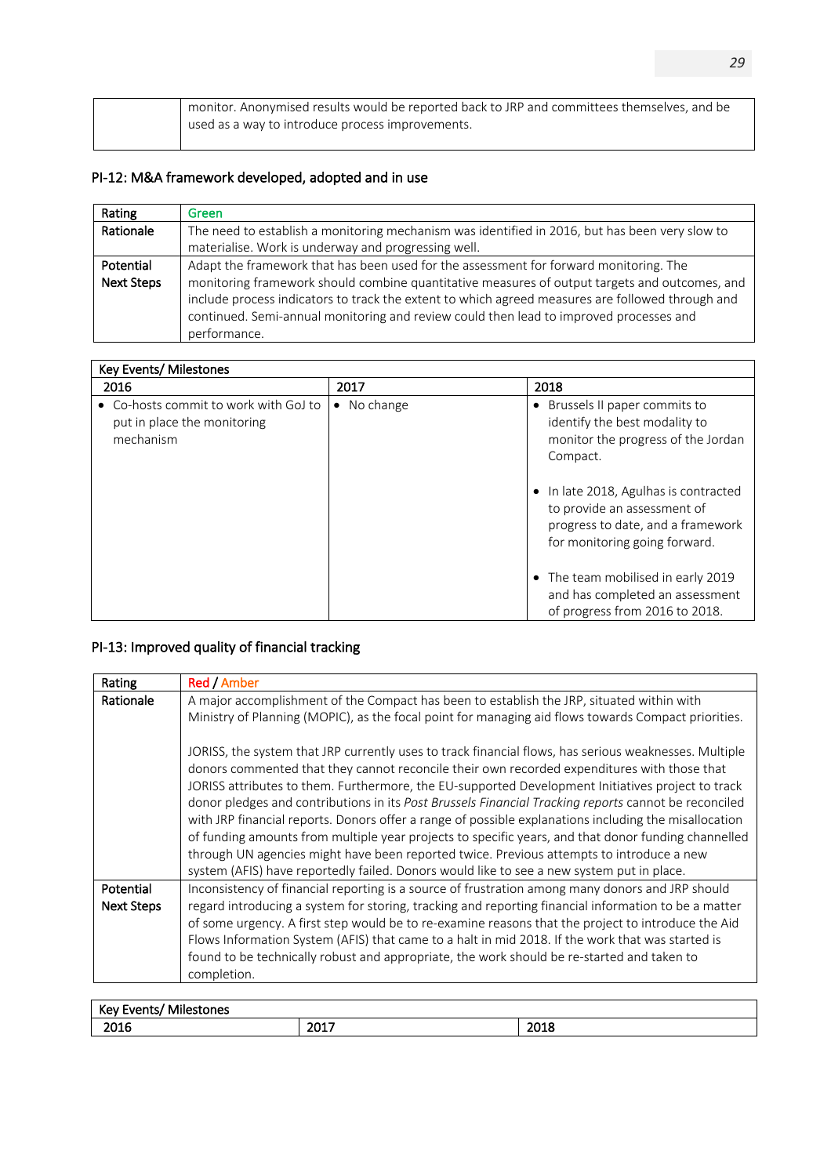| monitor. Anonymised results would be reported back to JRP and committees themselves, and be<br>used as a way to introduce process improvements. |
|-------------------------------------------------------------------------------------------------------------------------------------------------|
|                                                                                                                                                 |

# PI-12: M&A framework developed, adopted and in use

| Rating            | Green                                                                                                                                                                                                                                                                                                       |  |
|-------------------|-------------------------------------------------------------------------------------------------------------------------------------------------------------------------------------------------------------------------------------------------------------------------------------------------------------|--|
| Rationale         | The need to establish a monitoring mechanism was identified in 2016, but has been very slow to                                                                                                                                                                                                              |  |
|                   | materialise. Work is underway and progressing well.                                                                                                                                                                                                                                                         |  |
| Potential         | Adapt the framework that has been used for the assessment for forward monitoring. The                                                                                                                                                                                                                       |  |
| <b>Next Steps</b> | monitoring framework should combine quantitative measures of output targets and outcomes, and<br>include process indicators to track the extent to which agreed measures are followed through and<br>continued. Semi-annual monitoring and review could then lead to improved processes and<br>performance. |  |

| Key Events/ Milestones                                                            |                        |                                                                                                                                            |
|-----------------------------------------------------------------------------------|------------------------|--------------------------------------------------------------------------------------------------------------------------------------------|
| 2016                                                                              | 2017                   | 2018                                                                                                                                       |
| • Co-hosts commit to work with GoJ to<br>put in place the monitoring<br>mechanism | No change<br>$\bullet$ | • Brussels II paper commits to<br>identify the best modality to<br>monitor the progress of the Jordan<br>Compact.                          |
|                                                                                   |                        | • In late 2018, Agulhas is contracted<br>to provide an assessment of<br>progress to date, and a framework<br>for monitoring going forward. |
|                                                                                   |                        | • The team mobilised in early 2019<br>and has completed an assessment<br>of progress from 2016 to 2018.                                    |

# PI-13: Improved quality of financial tracking

| Rating                         | Red / Amber                                                                                                                                                                                                                                                                                                                                                                                                                                                                                                                                                                                                                                                                                                                                                                                                                |
|--------------------------------|----------------------------------------------------------------------------------------------------------------------------------------------------------------------------------------------------------------------------------------------------------------------------------------------------------------------------------------------------------------------------------------------------------------------------------------------------------------------------------------------------------------------------------------------------------------------------------------------------------------------------------------------------------------------------------------------------------------------------------------------------------------------------------------------------------------------------|
| Rationale                      | A major accomplishment of the Compact has been to establish the JRP, situated within with<br>Ministry of Planning (MOPIC), as the focal point for managing aid flows towards Compact priorities.                                                                                                                                                                                                                                                                                                                                                                                                                                                                                                                                                                                                                           |
|                                | JORISS, the system that JRP currently uses to track financial flows, has serious weaknesses. Multiple<br>donors commented that they cannot reconcile their own recorded expenditures with those that<br>JORISS attributes to them. Furthermore, the EU-supported Development Initiatives project to track<br>donor pledges and contributions in its Post Brussels Financial Tracking reports cannot be reconciled<br>with JRP financial reports. Donors offer a range of possible explanations including the misallocation<br>of funding amounts from multiple year projects to specific years, and that donor funding channelled<br>through UN agencies might have been reported twice. Previous attempts to introduce a new<br>system (AFIS) have reportedly failed. Donors would like to see a new system put in place. |
| Potential<br><b>Next Steps</b> | Inconsistency of financial reporting is a source of frustration among many donors and JRP should<br>regard introducing a system for storing, tracking and reporting financial information to be a matter<br>of some urgency. A first step would be to re-examine reasons that the project to introduce the Aid<br>Flows Information System (AFIS) that came to a halt in mid 2018. If the work that was started is<br>found to be technically robust and appropriate, the work should be re-started and taken to<br>completion.                                                                                                                                                                                                                                                                                            |

| ---<br>$ V_{\rm{max}} $<br><br>-------<br>Mile<br>nne.<br>$\cdots$<br>"re |              |                     |
|---------------------------------------------------------------------------|--------------|---------------------|
| 2016                                                                      | 2017<br>∠∪⊥≀ | 2015<br><b>2018</b> |
|                                                                           |              |                     |